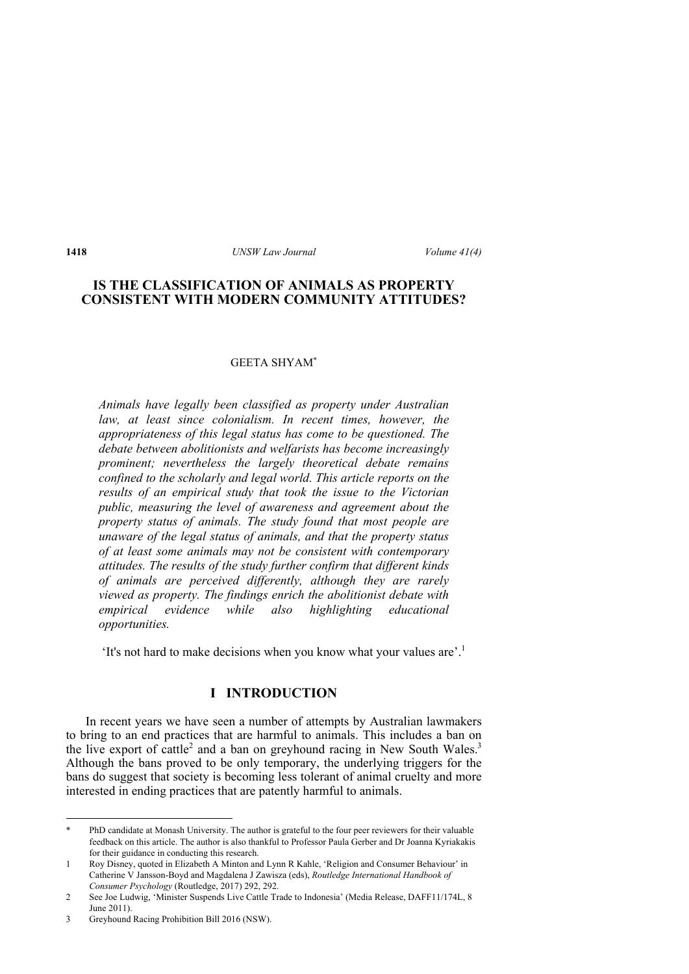# **IS THE CLASSIFICATION OF ANIMALS AS PROPERTY CONSISTENT WITH MODERN COMMUNITY ATTITUDES?**

### GEETA SHYAM\*

*Animals have legally been classified as property under Australian*  law, at least since colonialism. In recent times, however, the *appropriateness of this legal status has come to be questioned. The debate between abolitionists and welfarists has become increasingly prominent; nevertheless the largely theoretical debate remains confined to the scholarly and legal world. This article reports on the results of an empirical study that took the issue to the Victorian public, measuring the level of awareness and agreement about the property status of animals. The study found that most people are unaware of the legal status of animals, and that the property status of at least some animals may not be consistent with contemporary attitudes. The results of the study further confirm that different kinds of animals are perceived differently, although they are rarely viewed as property. The findings enrich the abolitionist debate with empirical evidence while also highlighting educational opportunities.* 

'It's not hard to make decisions when you know what your values are'.1

# **I INTRODUCTION**

In recent years we have seen a number of attempts by Australian lawmakers to bring to an end practices that are harmful to animals. This includes a ban on the live export of cattle<sup>2</sup> and a ban on greyhound racing in New South Wales.<sup>3</sup> Although the bans proved to be only temporary, the underlying triggers for the bans do suggest that society is becoming less tolerant of animal cruelty and more interested in ending practices that are patently harmful to animals.

<sup>\*</sup> PhD candidate at Monash University. The author is grateful to the four peer reviewers for their valuable feedback on this article. The author is also thankful to Professor Paula Gerber and Dr Joanna Kyriakakis for their guidance in conducting this research.

<sup>1</sup> Roy Disney, quoted in Elizabeth A Minton and Lynn R Kahle, 'Religion and Consumer Behaviour' in Catherine V Jansson-Boyd and Magdalena J Zawisza (eds), *Routledge International Handbook of Consumer Psychology* (Routledge, 2017) 292, 292.

<sup>2</sup> See Joe Ludwig, 'Minister Suspends Live Cattle Trade to Indonesia' (Media Release, DAFF11/174L, 8 June 2011).

<sup>3</sup> Greyhound Racing Prohibition Bill 2016 (NSW).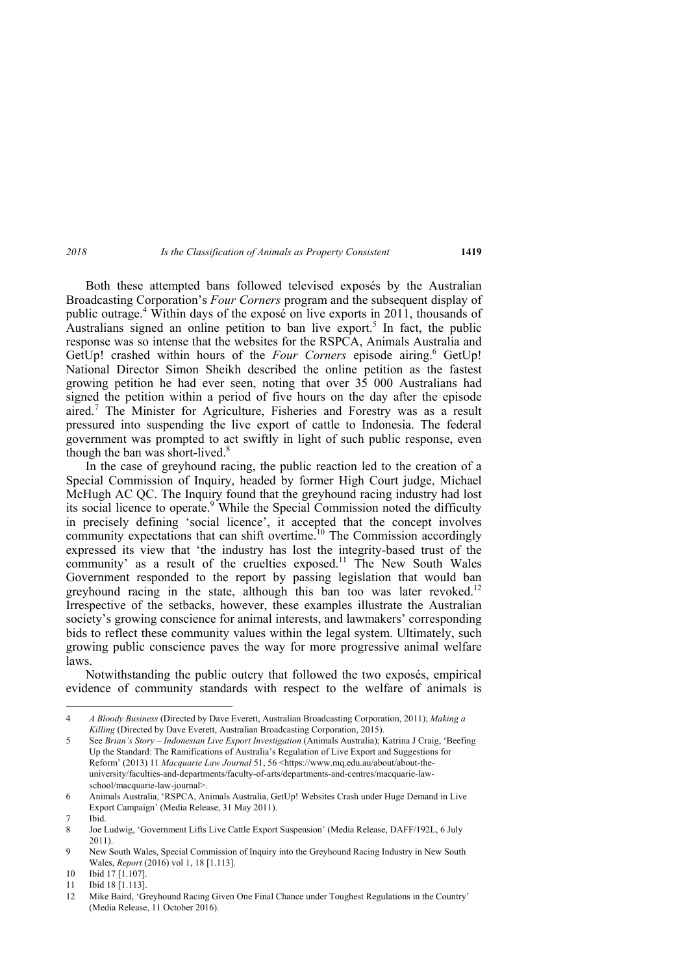Both these attempted bans followed televised exposés by the Australian Broadcasting Corporation's *Four Corners* program and the subsequent display of public outrage.<sup>4</sup> Within days of the exposé on live exports in 2011, thousands of Australians signed an online petition to ban live export.<sup>5</sup> In fact, the public response was so intense that the websites for the RSPCA, Animals Australia and GetUp! crashed within hours of the *Four Corners* episode airing.<sup>6</sup> GetUp! National Director Simon Sheikh described the online petition as the fastest growing petition he had ever seen, noting that over 35 000 Australians had signed the petition within a period of five hours on the day after the episode aired.7 The Minister for Agriculture, Fisheries and Forestry was as a result pressured into suspending the live export of cattle to Indonesia. The federal government was prompted to act swiftly in light of such public response, even though the ban was short-lived.<sup>8</sup>

In the case of greyhound racing, the public reaction led to the creation of a Special Commission of Inquiry, headed by former High Court judge, Michael McHugh AC QC. The Inquiry found that the greyhound racing industry had lost its social licence to operate.<sup>9</sup> While the Special Commission noted the difficulty in precisely defining 'social licence', it accepted that the concept involves community expectations that can shift overtime.<sup>10</sup> The Commission accordingly expressed its view that 'the industry has lost the integrity-based trust of the community' as a result of the cruelties exposed.<sup>11</sup> The New South Wales Government responded to the report by passing legislation that would ban greyhound racing in the state, although this ban too was later revoked.<sup>12</sup> Irrespective of the setbacks, however, these examples illustrate the Australian society's growing conscience for animal interests, and lawmakers' corresponding bids to reflect these community values within the legal system. Ultimately, such growing public conscience paves the way for more progressive animal welfare laws.

Notwithstanding the public outcry that followed the two exposés, empirical evidence of community standards with respect to the welfare of animals is

<sup>4</sup> *A Bloody Business* (Directed by Dave Everett, Australian Broadcasting Corporation, 2011); *Making a Killing* (Directed by Dave Everett, Australian Broadcasting Corporation, 2015).

<sup>5</sup> See *Brian's Story – Indonesian Live Export Investigation* (Animals Australia); Katrina J Craig, 'Beefing Up the Standard: The Ramifications of Australia's Regulation of Live Export and Suggestions for Reform' (2013) 11 *Macquarie Law Journal* 51, 56 <https://www.mq.edu.au/about/about-theuniversity/faculties-and-departments/faculty-of-arts/departments-and-centres/macquarie-lawschool/macquarie-law-journal>.

<sup>6</sup> Animals Australia, 'RSPCA, Animals Australia, GetUp! Websites Crash under Huge Demand in Live Export Campaign' (Media Release, 31 May 2011).

<sup>7</sup> Ibid.

<sup>8</sup> Joe Ludwig, 'Government Lifts Live Cattle Export Suspension' (Media Release, DAFF/192L, 6 July 2011).

<sup>9</sup> New South Wales, Special Commission of Inquiry into the Greyhound Racing Industry in New South Wales, *Report* (2016) vol 1, 18 [1.113].

<sup>10</sup> Ibid 17 [1.107].

<sup>11</sup> Ibid 18 [1.113].

<sup>12</sup> Mike Baird, 'Greyhound Racing Given One Final Chance under Toughest Regulations in the Country' (Media Release, 11 October 2016).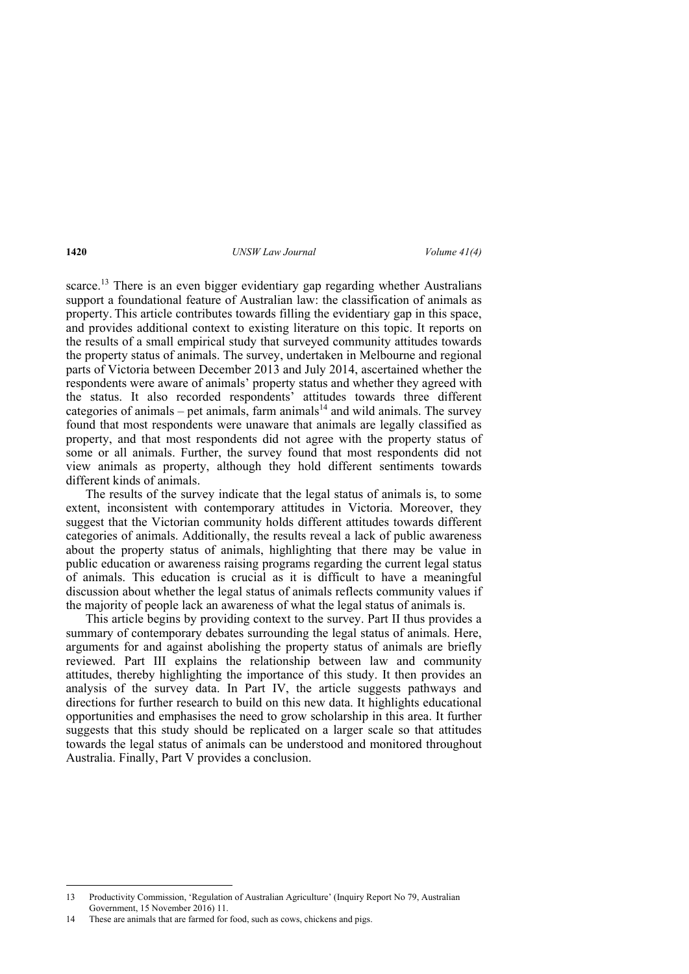scarce.<sup>13</sup> There is an even bigger evidentiary gap regarding whether Australians support a foundational feature of Australian law: the classification of animals as property. This article contributes towards filling the evidentiary gap in this space, and provides additional context to existing literature on this topic. It reports on the results of a small empirical study that surveyed community attitudes towards the property status of animals. The survey, undertaken in Melbourne and regional parts of Victoria between December 2013 and July 2014, ascertained whether the respondents were aware of animals' property status and whether they agreed with the status. It also recorded respondents' attitudes towards three different categories of animals – pet animals, farm animals<sup>14</sup> and wild animals. The survey found that most respondents were unaware that animals are legally classified as property, and that most respondents did not agree with the property status of some or all animals. Further, the survey found that most respondents did not view animals as property, although they hold different sentiments towards different kinds of animals.

The results of the survey indicate that the legal status of animals is, to some extent, inconsistent with contemporary attitudes in Victoria. Moreover, they suggest that the Victorian community holds different attitudes towards different categories of animals. Additionally, the results reveal a lack of public awareness about the property status of animals, highlighting that there may be value in public education or awareness raising programs regarding the current legal status of animals. This education is crucial as it is difficult to have a meaningful discussion about whether the legal status of animals reflects community values if the majority of people lack an awareness of what the legal status of animals is.

This article begins by providing context to the survey. Part II thus provides a summary of contemporary debates surrounding the legal status of animals. Here, arguments for and against abolishing the property status of animals are briefly reviewed. Part III explains the relationship between law and community attitudes, thereby highlighting the importance of this study. It then provides an analysis of the survey data. In Part IV, the article suggests pathways and directions for further research to build on this new data. It highlights educational opportunities and emphasises the need to grow scholarship in this area. It further suggests that this study should be replicated on a larger scale so that attitudes towards the legal status of animals can be understood and monitored throughout Australia. Finally, Part V provides a conclusion.

<sup>13</sup> Productivity Commission, 'Regulation of Australian Agriculture' (Inquiry Report No 79, Australian Government, 15 November 2016) 11.

<sup>14</sup> These are animals that are farmed for food, such as cows, chickens and pigs.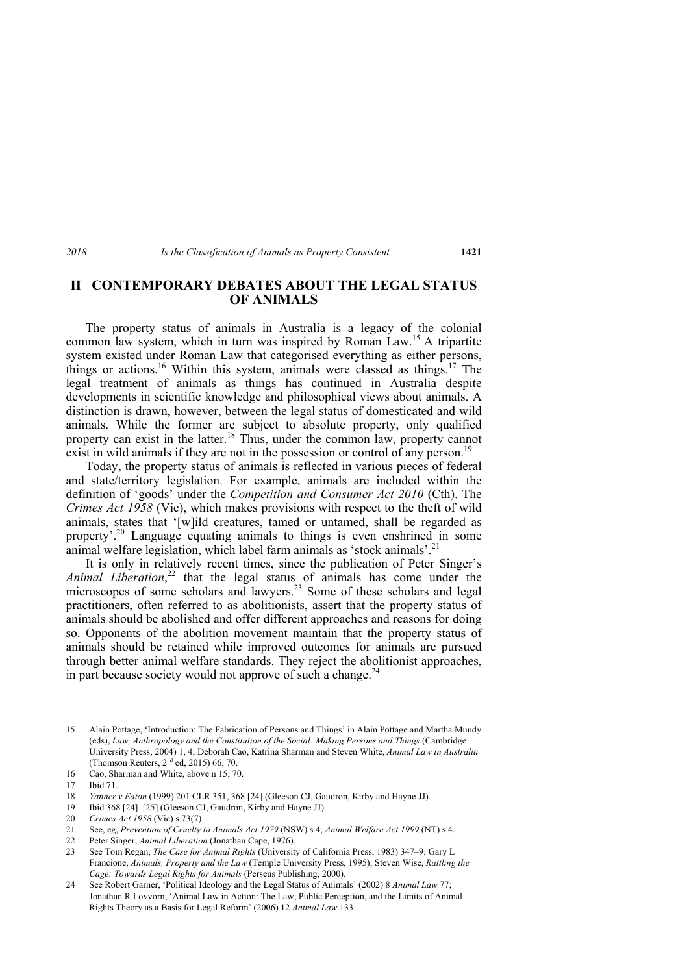# **II CONTEMPORARY DEBATES ABOUT THE LEGAL STATUS OF ANIMALS**

The property status of animals in Australia is a legacy of the colonial common law system, which in turn was inspired by Roman Law.<sup>15</sup> A tripartite system existed under Roman Law that categorised everything as either persons, things or actions.<sup>16</sup> Within this system, animals were classed as things.<sup>17</sup> The legal treatment of animals as things has continued in Australia despite developments in scientific knowledge and philosophical views about animals. A distinction is drawn, however, between the legal status of domesticated and wild animals. While the former are subject to absolute property, only qualified property can exist in the latter.<sup>18</sup> Thus, under the common law, property cannot exist in wild animals if they are not in the possession or control of any person.<sup>19</sup>

Today, the property status of animals is reflected in various pieces of federal and state/territory legislation. For example, animals are included within the definition of 'goods' under the *Competition and Consumer Act 2010* (Cth). The *Crimes Act 1958* (Vic), which makes provisions with respect to the theft of wild animals, states that '[w]ild creatures, tamed or untamed, shall be regarded as property'.20 Language equating animals to things is even enshrined in some animal welfare legislation, which label farm animals as 'stock animals'.<sup>21</sup>

It is only in relatively recent times, since the publication of Peter Singer's *Animal Liberation*, 22 that the legal status of animals has come under the microscopes of some scholars and lawyers.<sup>23</sup> Some of these scholars and legal practitioners, often referred to as abolitionists, assert that the property status of animals should be abolished and offer different approaches and reasons for doing so. Opponents of the abolition movement maintain that the property status of animals should be retained while improved outcomes for animals are pursued through better animal welfare standards. They reject the abolitionist approaches, in part because society would not approve of such a change. $^{24}$ 

<sup>15</sup> Alain Pottage, 'Introduction: The Fabrication of Persons and Things' in Alain Pottage and Martha Mundy (eds), *Law, Anthropology and the Constitution of the Social: Making Persons and Things* (Cambridge University Press, 2004) 1, 4; Deborah Cao, Katrina Sharman and Steven White, *Animal Law in Australia* (Thomson Reuters, 2nd ed, 2015) 66, 70.

<sup>16</sup> Cao, Sharman and White, above n 15, 70.

<sup>17</sup> Ibid 71.

<sup>18</sup> *Yanner v Eaton* (1999) 201 CLR 351, 368 [24] (Gleeson CJ, Gaudron, Kirby and Hayne JJ).

<sup>19</sup> Ibid 368 [24]–[25] (Gleeson CJ, Gaudron, Kirby and Hayne JJ).

<sup>20</sup> *Crimes Act 1958* (Vic) s 73(7).

<sup>21</sup> See, eg, *Prevention of Cruelty to Animals Act 1979* (NSW) s 4; *Animal Welfare Act 1999* (NT) s 4.

<sup>22</sup> Peter Singer, *Animal Liberation* (Jonathan Cape, 1976).

<sup>23</sup> See Tom Regan, *The Case for Animal Rights* (University of California Press, 1983) 347–9; Gary L Francione, *Animals, Property and the Law* (Temple University Press, 1995); Steven Wise, *Rattling the Cage: Towards Legal Rights for Animals* (Perseus Publishing, 2000).

<sup>24</sup> See Robert Garner, 'Political Ideology and the Legal Status of Animals' (2002) 8 *Animal Law* 77; Jonathan R Lovvorn, 'Animal Law in Action: The Law, Public Perception, and the Limits of Animal Rights Theory as a Basis for Legal Reform' (2006) 12 *Animal Law* 133.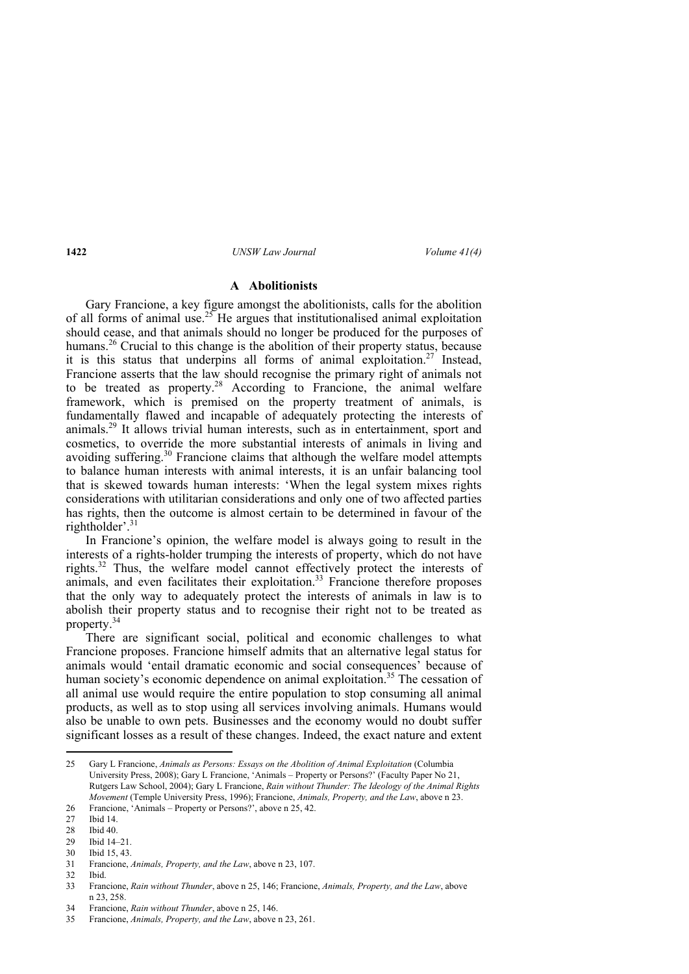## **A Abolitionists**

Gary Francione, a key figure amongst the abolitionists, calls for the abolition of all forms of animal use.<sup>25</sup> He argues that institutionalised animal exploitation should cease, and that animals should no longer be produced for the purposes of humans.<sup>26</sup> Crucial to this change is the abolition of their property status, because it is this status that underpins all forms of animal exploitation.<sup>27</sup> Instead, Francione asserts that the law should recognise the primary right of animals not to be treated as property.<sup>28</sup> According to Francione, the animal welfare framework, which is premised on the property treatment of animals, is fundamentally flawed and incapable of adequately protecting the interests of animals.29 It allows trivial human interests, such as in entertainment, sport and cosmetics, to override the more substantial interests of animals in living and avoiding suffering.<sup>30</sup> Francione claims that although the welfare model attempts to balance human interests with animal interests, it is an unfair balancing tool that is skewed towards human interests: 'When the legal system mixes rights considerations with utilitarian considerations and only one of two affected parties has rights, then the outcome is almost certain to be determined in favour of the rightholder'.<sup>31</sup>

In Francione's opinion, the welfare model is always going to result in the interests of a rights-holder trumping the interests of property, which do not have rights.32 Thus, the welfare model cannot effectively protect the interests of animals, and even facilitates their exploitation.<sup>33</sup> Francione therefore proposes that the only way to adequately protect the interests of animals in law is to abolish their property status and to recognise their right not to be treated as property.34

There are significant social, political and economic challenges to what Francione proposes. Francione himself admits that an alternative legal status for animals would 'entail dramatic economic and social consequences' because of human society's economic dependence on animal exploitation.<sup>35</sup> The cessation of all animal use would require the entire population to stop consuming all animal products, as well as to stop using all services involving animals. Humans would also be unable to own pets. Businesses and the economy would no doubt suffer significant losses as a result of these changes. Indeed, the exact nature and extent

 25 Gary L Francione, *Animals as Persons: Essays on the Abolition of Animal Exploitation* (Columbia University Press, 2008); Gary L Francione, 'Animals – Property or Persons?' (Faculty Paper No 21, Rutgers Law School, 2004); Gary L Francione, *Rain without Thunder: The Ideology of the Animal Rights Movement* (Temple University Press, 1996); Francione, *Animals, Property, and the Law*, above n 23.

<sup>26</sup> Francione, 'Animals – Property or Persons?', above n 25, 42.

<sup>27</sup> Ibid 14.

Ibid 40.

<sup>29</sup> Ibid 14–21.

<sup>30</sup> Ibid 15, 43.

<sup>31</sup> Francione, *Animals, Property, and the Law*, above n 23, 107.

<sup>32</sup> Ibid.

<sup>33</sup> Francione, *Rain without Thunder*, above n 25, 146; Francione, *Animals, Property, and the Law*, above n 23, 258.

<sup>34</sup> Francione, *Rain without Thunder*, above n 25, 146.

<sup>35</sup> Francione, *Animals, Property, and the Law*, above n 23, 261.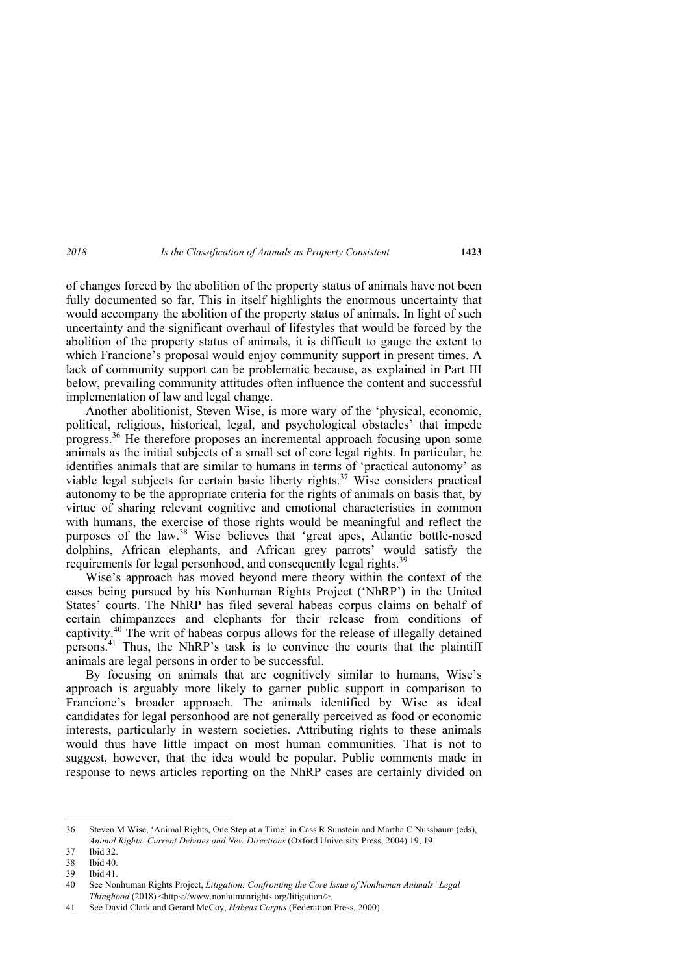of changes forced by the abolition of the property status of animals have not been fully documented so far. This in itself highlights the enormous uncertainty that would accompany the abolition of the property status of animals. In light of such uncertainty and the significant overhaul of lifestyles that would be forced by the abolition of the property status of animals, it is difficult to gauge the extent to which Francione's proposal would enjoy community support in present times. A lack of community support can be problematic because, as explained in Part III below, prevailing community attitudes often influence the content and successful implementation of law and legal change.

Another abolitionist, Steven Wise, is more wary of the 'physical, economic, political, religious, historical, legal, and psychological obstacles' that impede progress.<sup>36</sup> He therefore proposes an incremental approach focusing upon some animals as the initial subjects of a small set of core legal rights. In particular, he identifies animals that are similar to humans in terms of 'practical autonomy' as viable legal subjects for certain basic liberty rights.<sup>37</sup> Wise considers practical autonomy to be the appropriate criteria for the rights of animals on basis that, by virtue of sharing relevant cognitive and emotional characteristics in common with humans, the exercise of those rights would be meaningful and reflect the purposes of the law.<sup>38</sup> Wise believes that 'great apes, Atlantic bottle-nosed dolphins, African elephants, and African grey parrots' would satisfy the requirements for legal personhood, and consequently legal rights.<sup>39</sup>

Wise's approach has moved beyond mere theory within the context of the cases being pursued by his Nonhuman Rights Project ('NhRP') in the United States' courts. The NhRP has filed several habeas corpus claims on behalf of certain chimpanzees and elephants for their release from conditions of captivity.40 The writ of habeas corpus allows for the release of illegally detained persons.41 Thus, the NhRP's task is to convince the courts that the plaintiff animals are legal persons in order to be successful.

By focusing on animals that are cognitively similar to humans, Wise's approach is arguably more likely to garner public support in comparison to Francione's broader approach. The animals identified by Wise as ideal candidates for legal personhood are not generally perceived as food or economic interests, particularly in western societies. Attributing rights to these animals would thus have little impact on most human communities. That is not to suggest, however, that the idea would be popular. Public comments made in response to news articles reporting on the NhRP cases are certainly divided on

<sup>36</sup> Steven M Wise, 'Animal Rights, One Step at a Time' in Cass R Sunstein and Martha C Nussbaum (eds), *Animal Rights: Current Debates and New Directions* (Oxford University Press, 2004) 19, 19.

<sup>37</sup> Ibid 32.

<sup>38</sup> Ibid 40.

Ibid  $41$ .

<sup>40</sup> See Nonhuman Rights Project, *Litigation: Confronting the Core Issue of Nonhuman Animals' Legal Thinghood* (2018) <https://www.nonhumanrights.org/litigation/>.

<sup>41</sup> See David Clark and Gerard McCoy, *Habeas Corpus* (Federation Press, 2000).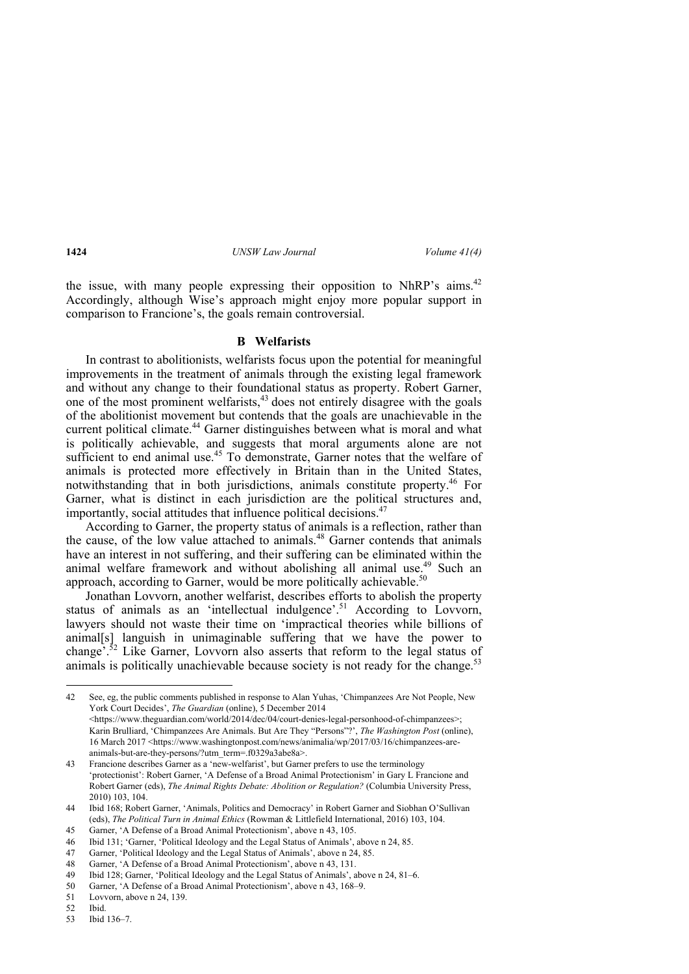the issue, with many people expressing their opposition to NhRP's aims.<sup>42</sup> Accordingly, although Wise's approach might enjoy more popular support in comparison to Francione's, the goals remain controversial.

### **B Welfarists**

In contrast to abolitionists, welfarists focus upon the potential for meaningful improvements in the treatment of animals through the existing legal framework and without any change to their foundational status as property. Robert Garner, one of the most prominent welfarists,<sup>43</sup> does not entirely disagree with the goals of the abolitionist movement but contends that the goals are unachievable in the current political climate.<sup>44</sup> Garner distinguishes between what is moral and what is politically achievable, and suggests that moral arguments alone are not sufficient to end animal use.<sup>45</sup> To demonstrate. Garner notes that the welfare of animals is protected more effectively in Britain than in the United States, notwithstanding that in both jurisdictions, animals constitute property.46 For Garner, what is distinct in each jurisdiction are the political structures and, importantly, social attitudes that influence political decisions.<sup>47</sup>

According to Garner, the property status of animals is a reflection, rather than the cause, of the low value attached to animals.<sup>48</sup> Garner contends that animals have an interest in not suffering, and their suffering can be eliminated within the animal welfare framework and without abolishing all animal use.<sup>49</sup> Such an approach, according to Garner, would be more politically achievable.<sup>50</sup>

Jonathan Lovvorn, another welfarist, describes efforts to abolish the property status of animals as an 'intellectual indulgence'.<sup>51</sup> According to Lovvorn, lawyers should not waste their time on 'impractical theories while billions of animal[s] languish in unimaginable suffering that we have the power to change<sup> $5.52$ </sup> Like Garner, Lovvorn also asserts that reform to the legal status of animals is politically unachievable because society is not ready for the change.<sup>53</sup>

<sup>42</sup> See, eg, the public comments published in response to Alan Yuhas, 'Chimpanzees Are Not People, New York Court Decides', *The Guardian* (online), 5 December 2014 <https://www.theguardian.com/world/2014/dec/04/court-denies-legal-personhood-of-chimpanzees>; Karin Brulliard, 'Chimpanzees Are Animals. But Are They "Persons"?', *The Washington Post* (online), 16 March 2017 <https://www.washingtonpost.com/news/animalia/wp/2017/03/16/chimpanzees-areanimals-but-are-they-persons/?utm\_term=.f0329a3abe8a>.

<sup>43</sup> Francione describes Garner as a 'new-welfarist', but Garner prefers to use the terminology 'protectionist': Robert Garner, 'A Defense of a Broad Animal Protectionism' in Gary L Francione and Robert Garner (eds), *The Animal Rights Debate: Abolition or Regulation?* (Columbia University Press, 2010) 103, 104.

<sup>44</sup> Ibid 168; Robert Garner, 'Animals, Politics and Democracy' in Robert Garner and Siobhan O'Sullivan (eds), *The Political Turn in Animal Ethics* (Rowman & Littlefield International, 2016) 103, 104.

<sup>45</sup> Garner, 'A Defense of a Broad Animal Protectionism', above n 43, 105.

<sup>46</sup> Ibid 131; 'Garner, 'Political Ideology and the Legal Status of Animals', above n 24, 85.

<sup>47</sup> Garner, 'Political Ideology and the Legal Status of Animals', above n 24, 85.

<sup>48</sup> Garner, 'A Defense of a Broad Animal Protectionism', above n 43, 131.

<sup>49</sup> Ibid 128; Garner, 'Political Ideology and the Legal Status of Animals', above n 24, 81–6.

<sup>50</sup> Garner, 'A Defense of a Broad Animal Protectionism', above n 43, 168–9.

<sup>51</sup> Lovvorn, above n 24, 139.

<sup>52</sup> Ibid.

<sup>53</sup> Ibid 136–7.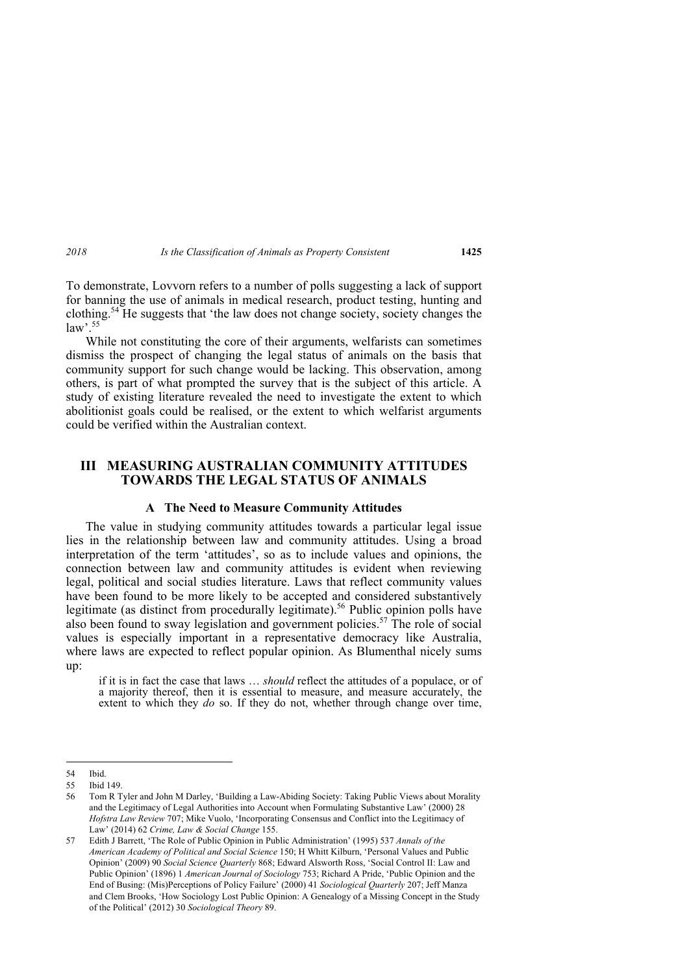To demonstrate, Lovvorn refers to a number of polls suggesting a lack of support for banning the use of animals in medical research, product testing, hunting and clothing.54 He suggests that 'the law does not change society, society changes the law'.  $55$ 

While not constituting the core of their arguments, welfarists can sometimes dismiss the prospect of changing the legal status of animals on the basis that community support for such change would be lacking. This observation, among others, is part of what prompted the survey that is the subject of this article. A study of existing literature revealed the need to investigate the extent to which abolitionist goals could be realised, or the extent to which welfarist arguments could be verified within the Australian context.

# **III MEASURING AUSTRALIAN COMMUNITY ATTITUDES TOWARDS THE LEGAL STATUS OF ANIMALS**

## **A The Need to Measure Community Attitudes**

The value in studying community attitudes towards a particular legal issue lies in the relationship between law and community attitudes. Using a broad interpretation of the term 'attitudes', so as to include values and opinions, the connection between law and community attitudes is evident when reviewing legal, political and social studies literature. Laws that reflect community values have been found to be more likely to be accepted and considered substantively legitimate (as distinct from procedurally legitimate).<sup>56</sup> Public opinion polls have also been found to sway legislation and government policies.<sup>57</sup> The role of social values is especially important in a representative democracy like Australia, where laws are expected to reflect popular opinion. As Blumenthal nicely sums up:

if it is in fact the case that laws … *should* reflect the attitudes of a populace, or of a majority thereof, then it is essential to measure, and measure accurately, the extent to which they *do* so. If they do not, whether through change over time,

<sup>54</sup> Ibid.

<sup>55</sup> Ibid 149.

<sup>56</sup> Tom R Tyler and John M Darley, 'Building a Law-Abiding Society: Taking Public Views about Morality and the Legitimacy of Legal Authorities into Account when Formulating Substantive Law' (2000) 28 *Hofstra Law Review* 707; Mike Vuolo, 'Incorporating Consensus and Conflict into the Legitimacy of Law' (2014) 62 *Crime, Law & Social Change* 155.

<sup>57</sup> Edith J Barrett, 'The Role of Public Opinion in Public Administration' (1995) 537 *Annals of the American Academy of Political and Social Science* 150; H Whitt Kilburn, 'Personal Values and Public Opinion' (2009) 90 *Social Science Quarterly* 868; Edward Alsworth Ross, 'Social Control II: Law and Public Opinion' (1896) 1 *American Journal of Sociology* 753; Richard A Pride, 'Public Opinion and the End of Busing: (Mis)Perceptions of Policy Failure' (2000) 41 *Sociological Quarterly* 207; Jeff Manza and Clem Brooks, 'How Sociology Lost Public Opinion: A Genealogy of a Missing Concept in the Study of the Political' (2012) 30 *Sociological Theory* 89.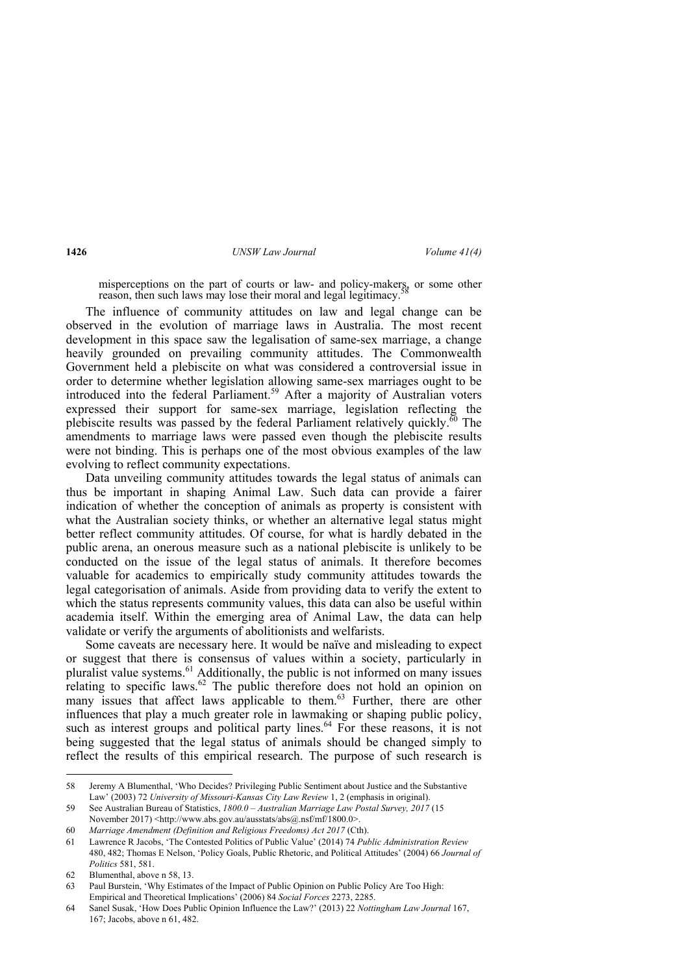misperceptions on the part of courts or law- and policy-makers, or some other reason, then such laws may lose their moral and legal legitimacy.

The influence of community attitudes on law and legal change can be observed in the evolution of marriage laws in Australia. The most recent development in this space saw the legalisation of same-sex marriage, a change heavily grounded on prevailing community attitudes. The Commonwealth Government held a plebiscite on what was considered a controversial issue in order to determine whether legislation allowing same-sex marriages ought to be introduced into the federal Parliament.<sup>59</sup> After a majority of Australian voters expressed their support for same-sex marriage, legislation reflecting the plebiscite results was passed by the federal Parliament relatively quickly.<sup> $\overline{60}$ </sup> The amendments to marriage laws were passed even though the plebiscite results were not binding. This is perhaps one of the most obvious examples of the law evolving to reflect community expectations.

Data unveiling community attitudes towards the legal status of animals can thus be important in shaping Animal Law. Such data can provide a fairer indication of whether the conception of animals as property is consistent with what the Australian society thinks, or whether an alternative legal status might better reflect community attitudes. Of course, for what is hardly debated in the public arena, an onerous measure such as a national plebiscite is unlikely to be conducted on the issue of the legal status of animals. It therefore becomes valuable for academics to empirically study community attitudes towards the legal categorisation of animals. Aside from providing data to verify the extent to which the status represents community values, this data can also be useful within academia itself. Within the emerging area of Animal Law, the data can help validate or verify the arguments of abolitionists and welfarists.

Some caveats are necessary here. It would be naïve and misleading to expect or suggest that there is consensus of values within a society, particularly in pluralist value systems.<sup>61</sup> Additionally, the public is not informed on many issues relating to specific laws.<sup>62</sup> The public therefore does not hold an opinion on many issues that affect laws applicable to them.<sup>63</sup> Further, there are other influences that play a much greater role in lawmaking or shaping public policy, such as interest groups and political party lines. $^{64}$  For these reasons, it is not being suggested that the legal status of animals should be changed simply to reflect the results of this empirical research. The purpose of such research is

<sup>58</sup> Jeremy A Blumenthal, 'Who Decides? Privileging Public Sentiment about Justice and the Substantive Law' (2003) 72 *University of Missouri-Kansas City Law Review* 1, 2 (emphasis in original).

<sup>59</sup> See Australian Bureau of Statistics, *1800.0 – Australian Marriage Law Postal Survey, 2017* (15 November 2017) <http://www.abs.gov.au/ausstats/abs@.nsf/mf/1800.0>.

<sup>60</sup> *Marriage Amendment (Definition and Religious Freedoms) Act 2017* (Cth).

<sup>61</sup> Lawrence R Jacobs, 'The Contested Politics of Public Value' (2014) 74 *Public Administration Review*  480, 482; Thomas E Nelson, 'Policy Goals, Public Rhetoric, and Political Attitudes' (2004) 66 *Journal of Politics* 581, 581.

<sup>62</sup> Blumenthal, above n 58, 13.

<sup>63</sup> Paul Burstein, 'Why Estimates of the Impact of Public Opinion on Public Policy Are Too High: Empirical and Theoretical Implications' (2006) 84 *Social Forces* 2273, 2285.

<sup>64</sup> Sanel Susak, 'How Does Public Opinion Influence the Law?' (2013) 22 *Nottingham Law Journal* 167, 167; Jacobs, above n 61, 482.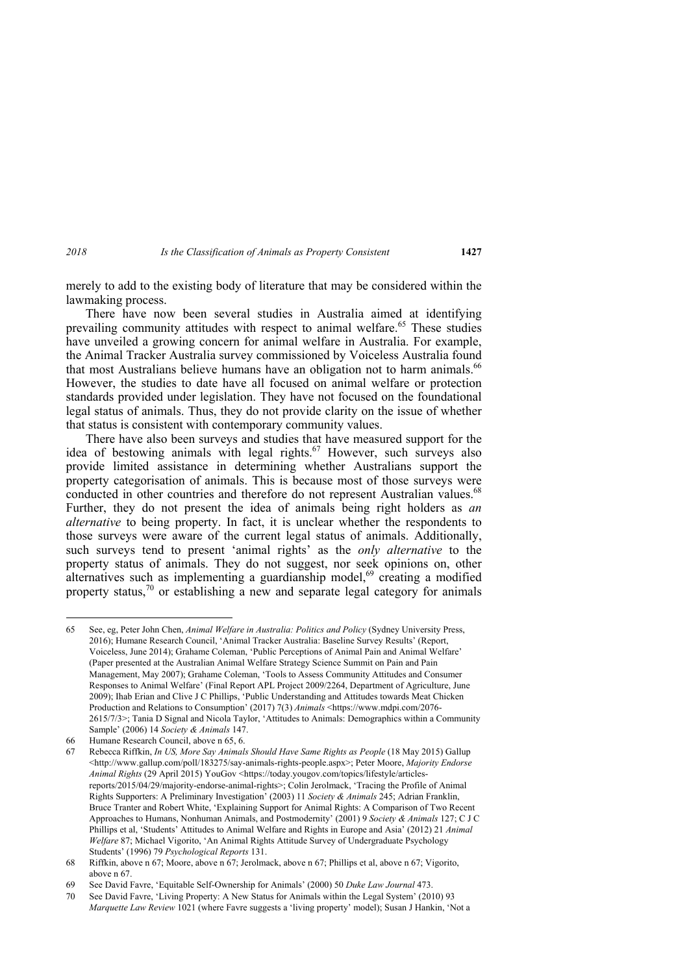merely to add to the existing body of literature that may be considered within the lawmaking process.

There have now been several studies in Australia aimed at identifying prevailing community attitudes with respect to animal welfare.<sup>65</sup> These studies have unveiled a growing concern for animal welfare in Australia. For example, the Animal Tracker Australia survey commissioned by Voiceless Australia found that most Australians believe humans have an obligation not to harm animals.<sup>66</sup> However, the studies to date have all focused on animal welfare or protection standards provided under legislation. They have not focused on the foundational legal status of animals. Thus, they do not provide clarity on the issue of whether that status is consistent with contemporary community values.

There have also been surveys and studies that have measured support for the idea of bestowing animals with legal rights.<sup>67</sup> However, such surveys also provide limited assistance in determining whether Australians support the property categorisation of animals. This is because most of those surveys were conducted in other countries and therefore do not represent Australian values.<sup>68</sup> Further, they do not present the idea of animals being right holders as *an alternative* to being property. In fact, it is unclear whether the respondents to those surveys were aware of the current legal status of animals. Additionally, such surveys tend to present 'animal rights' as the *only alternative* to the property status of animals. They do not suggest, nor seek opinions on, other alternatives such as implementing a guardianship model, $69$  creating a modified property status,<sup>70</sup> or establishing a new and separate legal category for animals

<sup>65</sup> See, eg, Peter John Chen, *Animal Welfare in Australia: Politics and Policy* (Sydney University Press, 2016); Humane Research Council, 'Animal Tracker Australia: Baseline Survey Results' (Report, Voiceless, June 2014); Grahame Coleman, 'Public Perceptions of Animal Pain and Animal Welfare' (Paper presented at the Australian Animal Welfare Strategy Science Summit on Pain and Pain Management, May 2007); Grahame Coleman, 'Tools to Assess Community Attitudes and Consumer Responses to Animal Welfare' (Final Report APL Project 2009/2264, Department of Agriculture, June 2009); Ihab Erian and Clive J C Phillips, 'Public Understanding and Attitudes towards Meat Chicken Production and Relations to Consumption' (2017) 7(3) *Animals* <https://www.mdpi.com/2076- 2615/7/3>; Tania D Signal and Nicola Taylor, 'Attitudes to Animals: Demographics within a Community Sample' (2006) 14 *Society & Animals* 147.

<sup>66</sup> Humane Research Council, above n 65, 6.

<sup>67</sup> Rebecca Riffkin, *In US, More Say Animals Should Have Same Rights as People* (18 May 2015) Gallup <http://www.gallup.com/poll/183275/say-animals-rights-people.aspx>; Peter Moore, *Majority Endorse Animal Rights* (29 April 2015) YouGov <https://today.yougov.com/topics/lifestyle/articlesreports/2015/04/29/majority-endorse-animal-rights>; Colin Jerolmack, 'Tracing the Profile of Animal Rights Supporters: A Preliminary Investigation' (2003) 11 *Society & Animals* 245; Adrian Franklin, Bruce Tranter and Robert White, 'Explaining Support for Animal Rights: A Comparison of Two Recent Approaches to Humans, Nonhuman Animals, and Postmodernity' (2001) 9 *Society & Animals* 127; C J C Phillips et al, 'Students' Attitudes to Animal Welfare and Rights in Europe and Asia' (2012) 21 *Animal Welfare* 87; Michael Vigorito, 'An Animal Rights Attitude Survey of Undergraduate Psychology Students' (1996) 79 *Psychological Reports* 131.

<sup>68</sup> Riffkin, above n 67; Moore, above n 67; Jerolmack, above n 67; Phillips et al, above n 67; Vigorito, above n 67.

<sup>69</sup> See David Favre, 'Equitable Self-Ownership for Animals' (2000) 50 *Duke Law Journal* 473.

<sup>70</sup> See David Favre, 'Living Property: A New Status for Animals within the Legal System' (2010) 93 *Marquette Law Review* 1021 (where Favre suggests a 'living property' model); Susan J Hankin, 'Not a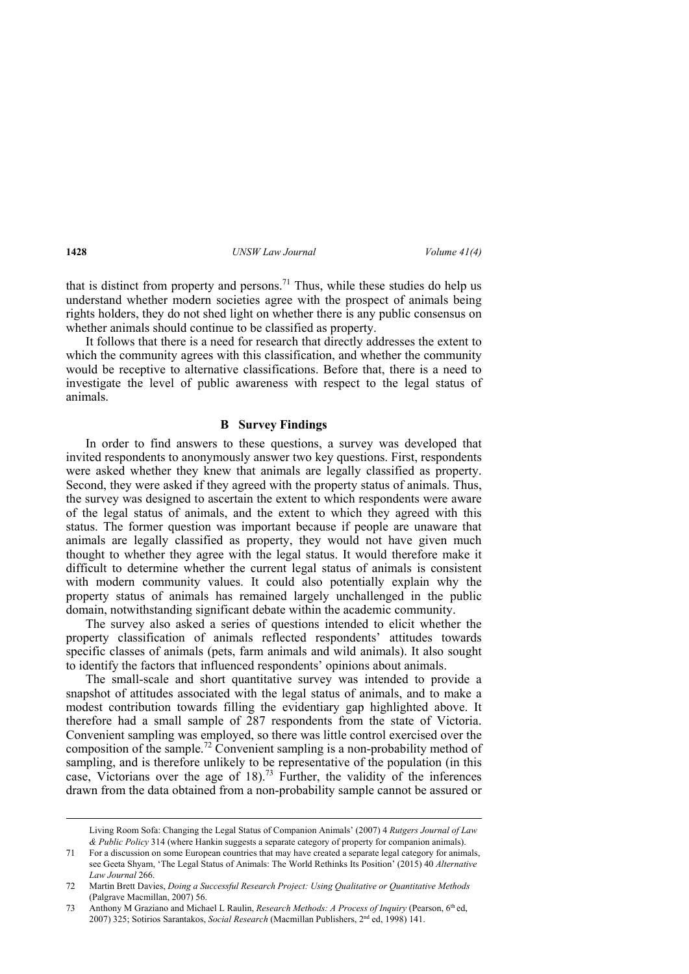that is distinct from property and persons.<sup>71</sup> Thus, while these studies do help us understand whether modern societies agree with the prospect of animals being rights holders, they do not shed light on whether there is any public consensus on whether animals should continue to be classified as property.

It follows that there is a need for research that directly addresses the extent to which the community agrees with this classification, and whether the community would be receptive to alternative classifications. Before that, there is a need to investigate the level of public awareness with respect to the legal status of animals.

### **B Survey Findings**

In order to find answers to these questions, a survey was developed that invited respondents to anonymously answer two key questions. First, respondents were asked whether they knew that animals are legally classified as property. Second, they were asked if they agreed with the property status of animals. Thus, the survey was designed to ascertain the extent to which respondents were aware of the legal status of animals, and the extent to which they agreed with this status. The former question was important because if people are unaware that animals are legally classified as property, they would not have given much thought to whether they agree with the legal status. It would therefore make it difficult to determine whether the current legal status of animals is consistent with modern community values. It could also potentially explain why the property status of animals has remained largely unchallenged in the public domain, notwithstanding significant debate within the academic community.

The survey also asked a series of questions intended to elicit whether the property classification of animals reflected respondents' attitudes towards specific classes of animals (pets, farm animals and wild animals). It also sought to identify the factors that influenced respondents' opinions about animals.

The small-scale and short quantitative survey was intended to provide a snapshot of attitudes associated with the legal status of animals, and to make a modest contribution towards filling the evidentiary gap highlighted above. It therefore had a small sample of 287 respondents from the state of Victoria. Convenient sampling was employed, so there was little control exercised over the composition of the sample.<sup>72</sup> Convenient sampling is a non-probability method of sampling, and is therefore unlikely to be representative of the population (in this case, Victorians over the age of 18).<sup>73</sup> Further, the validity of the inferences drawn from the data obtained from a non-probability sample cannot be assured or

Living Room Sofa: Changing the Legal Status of Companion Animals' (2007) 4 *Rutgers Journal of Law & Public Policy* 314 (where Hankin suggests a separate category of property for companion animals).

<sup>71</sup> For a discussion on some European countries that may have created a separate legal category for animals, see Geeta Shyam, 'The Legal Status of Animals: The World Rethinks Its Position' (2015) 40 *Alternative Law Journal* 266.

<sup>72</sup> Martin Brett Davies, *Doing a Successful Research Project: Using Qualitative or Quantitative Methods* (Palgrave Macmillan, 2007) 56.

<sup>73</sup> Anthony M Graziano and Michael L Raulin, *Research Methods: A Process of Inquiry* (Pearson, 6th ed, 2007) 325; Sotirios Sarantakos, *Social Research* (Macmillan Publishers, 2nd ed, 1998) 141.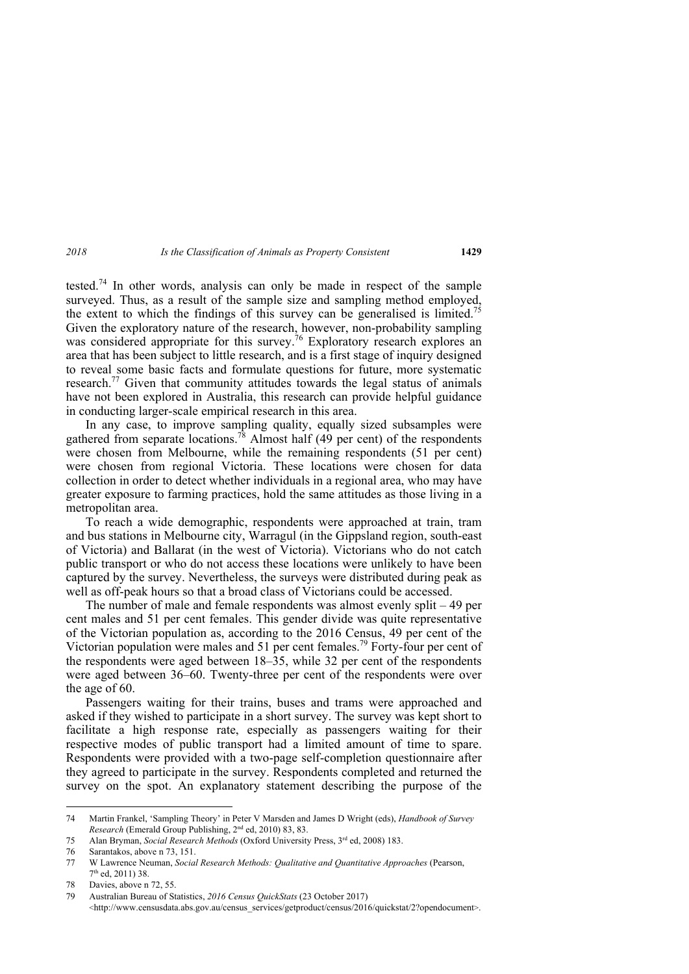tested.<sup>74</sup> In other words, analysis can only be made in respect of the sample surveyed. Thus, as a result of the sample size and sampling method employed, the extent to which the findings of this survey can be generalised is limited.<sup>75</sup> Given the exploratory nature of the research, however, non-probability sampling was considered appropriate for this survey.<sup>76</sup> Exploratory research explores an area that has been subject to little research, and is a first stage of inquiry designed to reveal some basic facts and formulate questions for future, more systematic research.<sup>77</sup> Given that community attitudes towards the legal status of animals have not been explored in Australia, this research can provide helpful guidance in conducting larger-scale empirical research in this area.

In any case, to improve sampling quality, equally sized subsamples were gathered from separate locations.<sup>78</sup> Almost half (49 per cent) of the respondents were chosen from Melbourne, while the remaining respondents (51 per cent) were chosen from regional Victoria. These locations were chosen for data collection in order to detect whether individuals in a regional area, who may have greater exposure to farming practices, hold the same attitudes as those living in a metropolitan area.

To reach a wide demographic, respondents were approached at train, tram and bus stations in Melbourne city, Warragul (in the Gippsland region, south-east of Victoria) and Ballarat (in the west of Victoria). Victorians who do not catch public transport or who do not access these locations were unlikely to have been captured by the survey. Nevertheless, the surveys were distributed during peak as well as off-peak hours so that a broad class of Victorians could be accessed.

The number of male and female respondents was almost evenly split – 49 per cent males and 51 per cent females. This gender divide was quite representative of the Victorian population as, according to the 2016 Census, 49 per cent of the Victorian population were males and 51 per cent females.<sup>79</sup> Forty-four per cent of the respondents were aged between 18–35, while 32 per cent of the respondents were aged between 36–60. Twenty-three per cent of the respondents were over the age of 60.

Passengers waiting for their trains, buses and trams were approached and asked if they wished to participate in a short survey. The survey was kept short to facilitate a high response rate, especially as passengers waiting for their respective modes of public transport had a limited amount of time to spare. Respondents were provided with a two-page self-completion questionnaire after they agreed to participate in the survey. Respondents completed and returned the survey on the spot. An explanatory statement describing the purpose of the

<sup>74</sup> Martin Frankel, 'Sampling Theory' in Peter V Marsden and James D Wright (eds), *Handbook of Survey Research* (Emerald Group Publishing, 2nd ed, 2010) 83, 83.

<sup>75</sup> Alan Bryman, *Social Research Methods* (Oxford University Press, 3rd ed, 2008) 183.

<sup>76</sup> Sarantakos, above n 73, 151.

<sup>77</sup> W Lawrence Neuman, *Social Research Methods: Qualitative and Quantitative Approaches* (Pearson, 7th ed, 2011) 38.

<sup>78</sup> Davies, above n 72, 55.

<sup>79</sup> Australian Bureau of Statistics, *2016 Census QuickStats* (23 October 2017) <http://www.censusdata.abs.gov.au/census\_services/getproduct/census/2016/quickstat/2?opendocument>.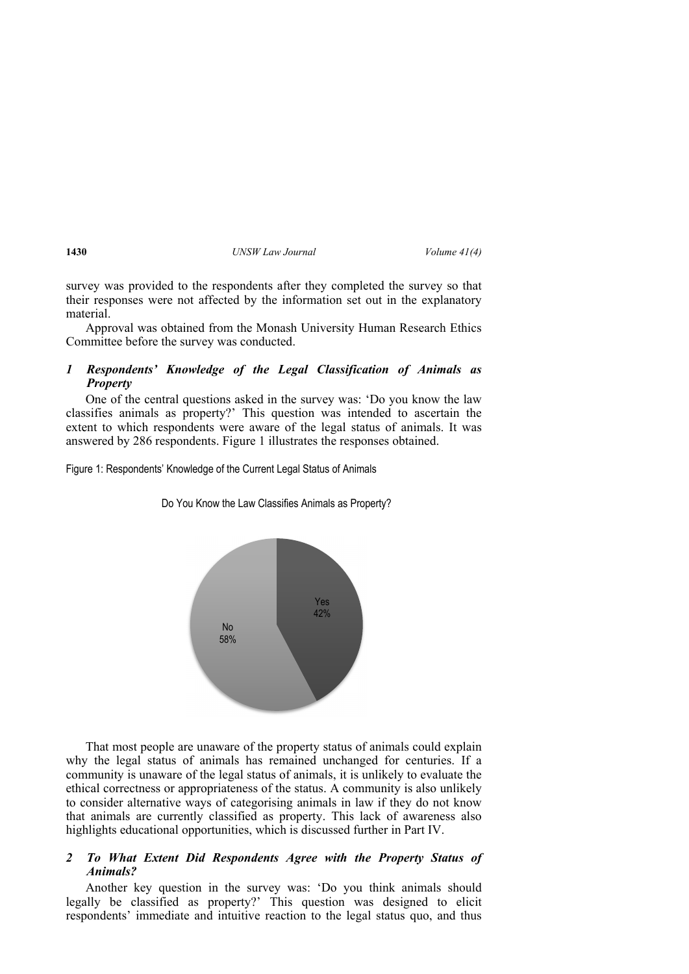survey was provided to the respondents after they completed the survey so that their responses were not affected by the information set out in the explanatory material.

Approval was obtained from the Monash University Human Research Ethics Committee before the survey was conducted.

# *1 Respondents' Knowledge of the Legal Classification of Animals as Property*

One of the central questions asked in the survey was: 'Do you know the law classifies animals as property?' This question was intended to ascertain the extent to which respondents were aware of the legal status of animals. It was answered by 286 respondents. Figure 1 illustrates the responses obtained.

Figure 1: Respondents' Knowledge of the Current Legal Status of Animals

Yes 42% No 58%

Do You Know the Law Classifies Animals as Property?

That most people are unaware of the property status of animals could explain why the legal status of animals has remained unchanged for centuries. If a community is unaware of the legal status of animals, it is unlikely to evaluate the ethical correctness or appropriateness of the status. A community is also unlikely to consider alternative ways of categorising animals in law if they do not know that animals are currently classified as property. This lack of awareness also highlights educational opportunities, which is discussed further in Part IV.

# *2 To What Extent Did Respondents Agree with the Property Status of Animals?*

Another key question in the survey was: 'Do you think animals should legally be classified as property?' This question was designed to elicit respondents' immediate and intuitive reaction to the legal status quo, and thus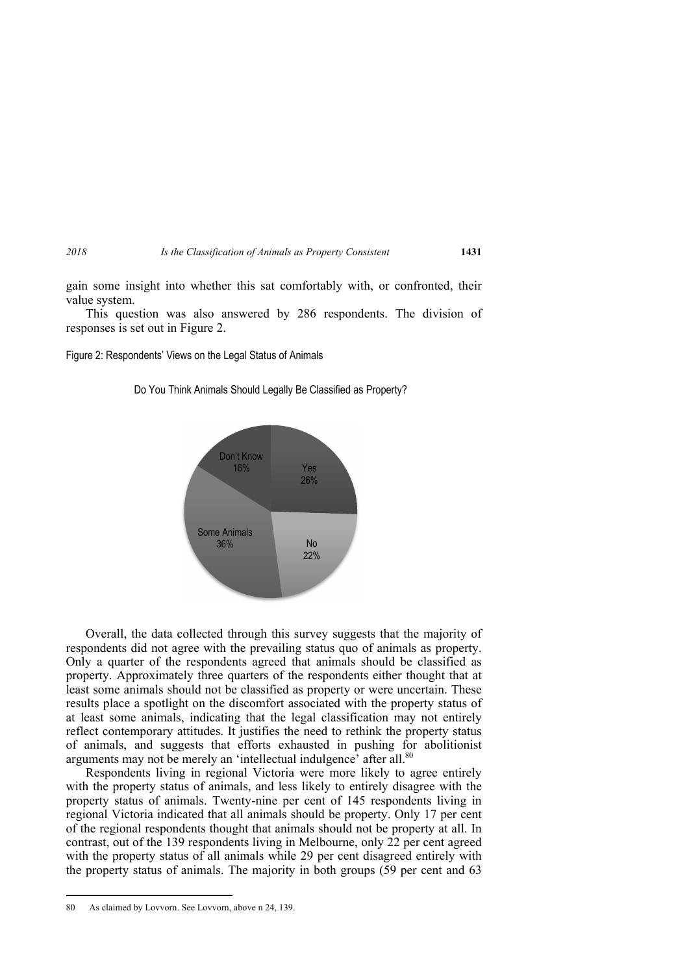gain some insight into whether this sat comfortably with, or confronted, their value system.

This question was also answered by 286 respondents. The division of responses is set out in Figure 2.

Figure 2: Respondents' Views on the Legal Status of Animals



Do You Think Animals Should Legally Be Classified as Property?

Overall, the data collected through this survey suggests that the majority of respondents did not agree with the prevailing status quo of animals as property. Only a quarter of the respondents agreed that animals should be classified as property. Approximately three quarters of the respondents either thought that at least some animals should not be classified as property or were uncertain. These results place a spotlight on the discomfort associated with the property status of at least some animals, indicating that the legal classification may not entirely reflect contemporary attitudes. It justifies the need to rethink the property status of animals, and suggests that efforts exhausted in pushing for abolitionist arguments may not be merely an 'intellectual indulgence' after all.<sup>80</sup>

Respondents living in regional Victoria were more likely to agree entirely with the property status of animals, and less likely to entirely disagree with the property status of animals. Twenty-nine per cent of 145 respondents living in regional Victoria indicated that all animals should be property. Only 17 per cent of the regional respondents thought that animals should not be property at all. In contrast, out of the 139 respondents living in Melbourne, only 22 per cent agreed with the property status of all animals while 29 per cent disagreed entirely with the property status of animals. The majority in both groups (59 per cent and 63

<sup>80</sup> As claimed by Lovvorn. See Lovvorn, above n 24, 139.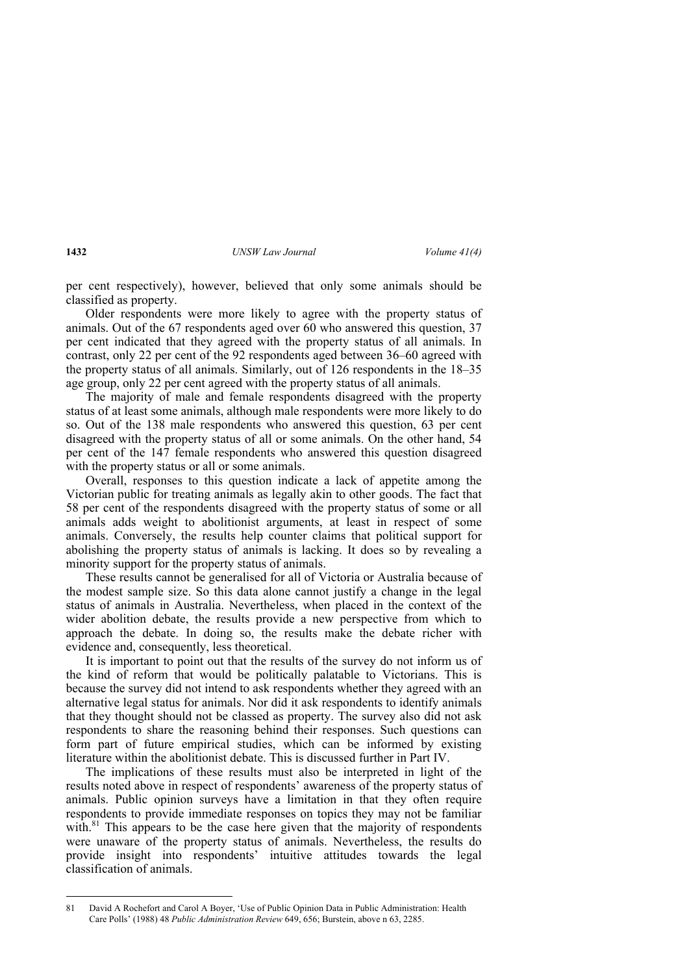per cent respectively), however, believed that only some animals should be classified as property.

Older respondents were more likely to agree with the property status of animals. Out of the 67 respondents aged over 60 who answered this question, 37 per cent indicated that they agreed with the property status of all animals. In contrast, only 22 per cent of the 92 respondents aged between 36–60 agreed with the property status of all animals. Similarly, out of 126 respondents in the 18–35 age group, only 22 per cent agreed with the property status of all animals.

The majority of male and female respondents disagreed with the property status of at least some animals, although male respondents were more likely to do so. Out of the 138 male respondents who answered this question, 63 per cent disagreed with the property status of all or some animals. On the other hand, 54 per cent of the 147 female respondents who answered this question disagreed with the property status or all or some animals.

Overall, responses to this question indicate a lack of appetite among the Victorian public for treating animals as legally akin to other goods. The fact that 58 per cent of the respondents disagreed with the property status of some or all animals adds weight to abolitionist arguments, at least in respect of some animals. Conversely, the results help counter claims that political support for abolishing the property status of animals is lacking. It does so by revealing a minority support for the property status of animals.

These results cannot be generalised for all of Victoria or Australia because of the modest sample size. So this data alone cannot justify a change in the legal status of animals in Australia. Nevertheless, when placed in the context of the wider abolition debate, the results provide a new perspective from which to approach the debate. In doing so, the results make the debate richer with evidence and, consequently, less theoretical.

It is important to point out that the results of the survey do not inform us of the kind of reform that would be politically palatable to Victorians. This is because the survey did not intend to ask respondents whether they agreed with an alternative legal status for animals. Nor did it ask respondents to identify animals that they thought should not be classed as property. The survey also did not ask respondents to share the reasoning behind their responses. Such questions can form part of future empirical studies, which can be informed by existing literature within the abolitionist debate. This is discussed further in Part IV.

The implications of these results must also be interpreted in light of the results noted above in respect of respondents' awareness of the property status of animals. Public opinion surveys have a limitation in that they often require respondents to provide immediate responses on topics they may not be familiar with. $81$  This appears to be the case here given that the majority of respondents were unaware of the property status of animals. Nevertheless, the results do provide insight into respondents' intuitive attitudes towards the legal classification of animals.

<sup>81</sup> David A Rochefort and Carol A Boyer, 'Use of Public Opinion Data in Public Administration: Health Care Polls' (1988) 48 *Public Administration Review* 649, 656; Burstein, above n 63, 2285.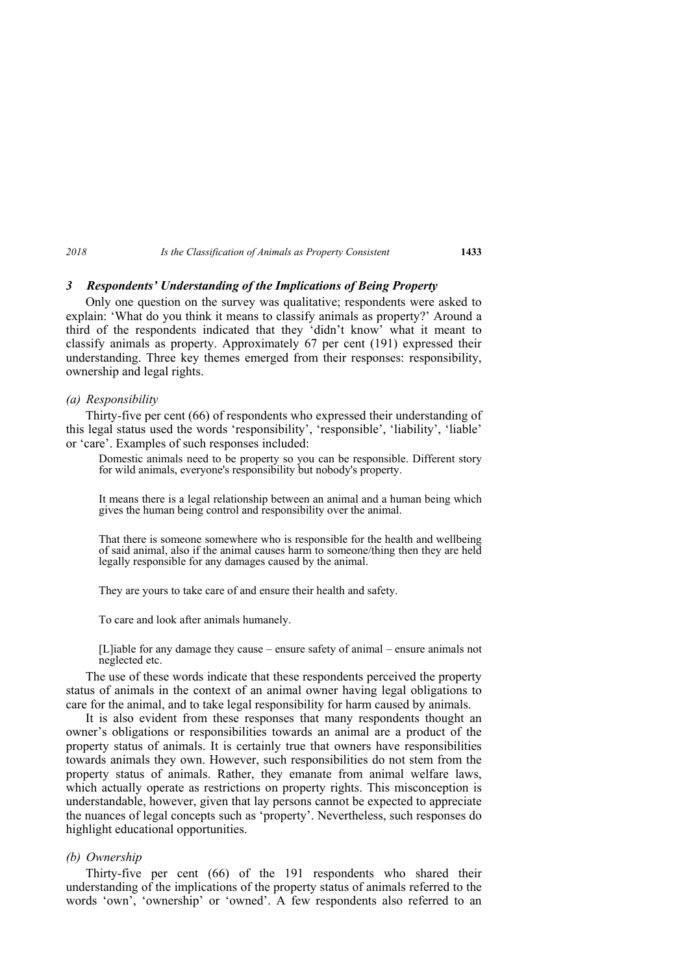## *3 Respondents' Understanding of the Implications of Being Property*

Only one question on the survey was qualitative; respondents were asked to explain: 'What do you think it means to classify animals as property?' Around a third of the respondents indicated that they 'didn't know' what it meant to classify animals as property. Approximately 67 per cent (191) expressed their understanding. Three key themes emerged from their responses: responsibility, ownership and legal rights.

#### *(a) Responsibility*

Thirty-five per cent (66) of respondents who expressed their understanding of this legal status used the words 'responsibility', 'responsible', 'liability', 'liable' or 'care'. Examples of such responses included:

Domestic animals need to be property so you can be responsible. Different story for wild animals, everyone's responsibility but nobody's property.

It means there is a legal relationship between an animal and a human being which gives the human being control and responsibility over the animal.

That there is someone somewhere who is responsible for the health and wellbeing of said animal, also if the animal causes harm to someone/thing then they are held legally responsible for any damages caused by the animal.

They are yours to take care of and ensure their health and safety.

To care and look after animals humanely.

[L]iable for any damage they cause – ensure safety of animal – ensure animals not neglected etc.

The use of these words indicate that these respondents perceived the property status of animals in the context of an animal owner having legal obligations to care for the animal, and to take legal responsibility for harm caused by animals.

It is also evident from these responses that many respondents thought an owner's obligations or responsibilities towards an animal are a product of the property status of animals. It is certainly true that owners have responsibilities towards animals they own. However, such responsibilities do not stem from the property status of animals. Rather, they emanate from animal welfare laws, which actually operate as restrictions on property rights. This misconception is understandable, however, given that lay persons cannot be expected to appreciate the nuances of legal concepts such as 'property'. Nevertheless, such responses do highlight educational opportunities.

### *(b) Ownership*

Thirty-five per cent (66) of the 191 respondents who shared their understanding of the implications of the property status of animals referred to the words 'own', 'ownership' or 'owned'. A few respondents also referred to an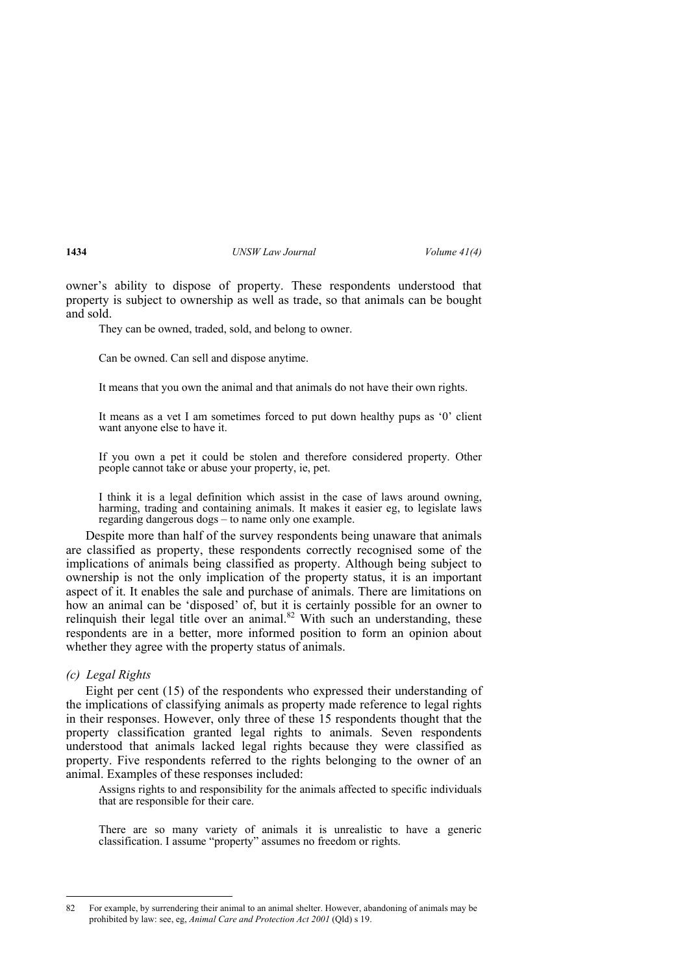owner's ability to dispose of property. These respondents understood that property is subject to ownership as well as trade, so that animals can be bought and sold.

They can be owned, traded, sold, and belong to owner.

Can be owned. Can sell and dispose anytime.

It means that you own the animal and that animals do not have their own rights.

It means as a vet I am sometimes forced to put down healthy pups as '0' client want anyone else to have it.

If you own a pet it could be stolen and therefore considered property. Other people cannot take or abuse your property, ie, pet.

I think it is a legal definition which assist in the case of laws around owning, harming, trading and containing animals. It makes it easier eg, to legislate laws regarding dangerous dogs – to name only one example.

Despite more than half of the survey respondents being unaware that animals are classified as property, these respondents correctly recognised some of the implications of animals being classified as property. Although being subject to ownership is not the only implication of the property status, it is an important aspect of it. It enables the sale and purchase of animals. There are limitations on how an animal can be 'disposed' of, but it is certainly possible for an owner to relinquish their legal title over an animal.<sup>82</sup> With such an understanding, these respondents are in a better, more informed position to form an opinion about whether they agree with the property status of animals.

*(c) Legal Rights* 

Eight per cent (15) of the respondents who expressed their understanding of the implications of classifying animals as property made reference to legal rights in their responses. However, only three of these 15 respondents thought that the property classification granted legal rights to animals. Seven respondents understood that animals lacked legal rights because they were classified as property. Five respondents referred to the rights belonging to the owner of an animal. Examples of these responses included:

Assigns rights to and responsibility for the animals affected to specific individuals that are responsible for their care.

There are so many variety of animals it is unrealistic to have a generic classification. I assume "property" assumes no freedom or rights.

<sup>82</sup> For example, by surrendering their animal to an animal shelter. However, abandoning of animals may be prohibited by law: see, eg, *Animal Care and Protection Act 2001* (Qld) s 19.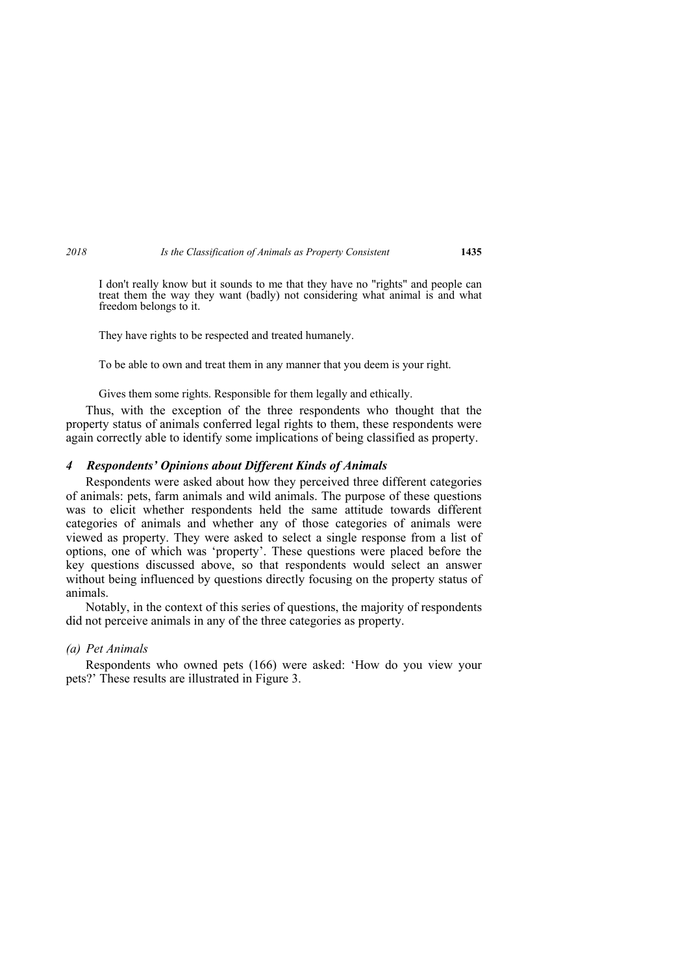I don't really know but it sounds to me that they have no "rights" and people can treat them the way they want (badly) not considering what animal is and what freedom belongs to it.

They have rights to be respected and treated humanely.

To be able to own and treat them in any manner that you deem is your right.

Gives them some rights. Responsible for them legally and ethically.

Thus, with the exception of the three respondents who thought that the property status of animals conferred legal rights to them, these respondents were again correctly able to identify some implications of being classified as property.

## *4 Respondents' Opinions about Different Kinds of Animals*

Respondents were asked about how they perceived three different categories of animals: pets, farm animals and wild animals. The purpose of these questions was to elicit whether respondents held the same attitude towards different categories of animals and whether any of those categories of animals were viewed as property. They were asked to select a single response from a list of options, one of which was 'property'. These questions were placed before the key questions discussed above, so that respondents would select an answer without being influenced by questions directly focusing on the property status of animals.

Notably, in the context of this series of questions, the majority of respondents did not perceive animals in any of the three categories as property.

### *(a) Pet Animals*

Respondents who owned pets (166) were asked: 'How do you view your pets?' These results are illustrated in Figure 3.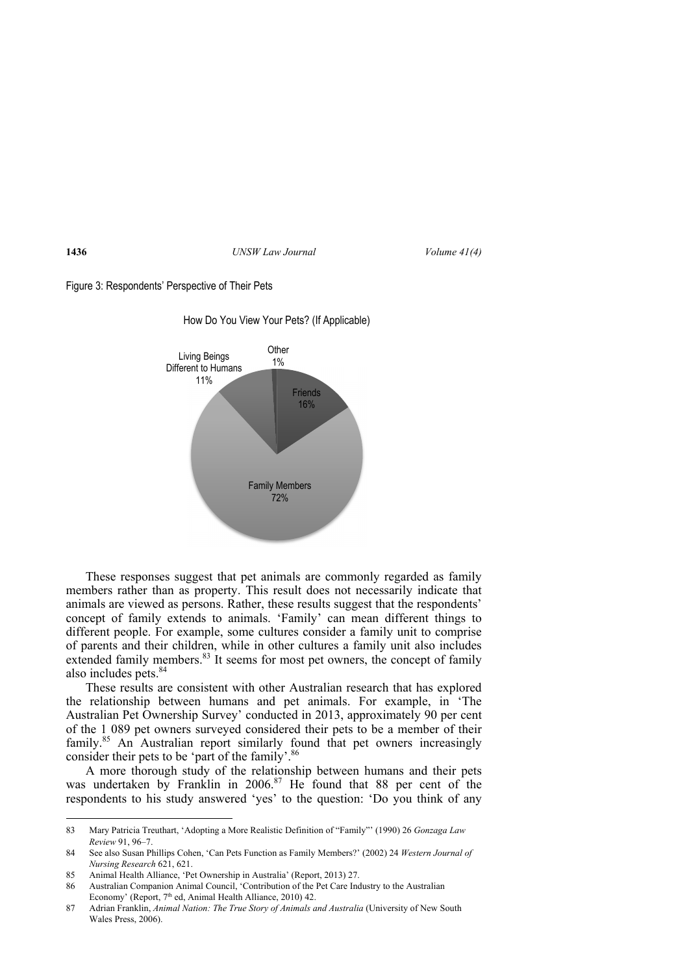



How Do You View Your Pets? (If Applicable)

These responses suggest that pet animals are commonly regarded as family members rather than as property. This result does not necessarily indicate that animals are viewed as persons. Rather, these results suggest that the respondents' concept of family extends to animals. 'Family' can mean different things to different people. For example, some cultures consider a family unit to comprise of parents and their children, while in other cultures a family unit also includes extended family members. $83 \text{ ft}$  seems for most pet owners, the concept of family also includes pets.<sup>84</sup>

These results are consistent with other Australian research that has explored the relationship between humans and pet animals. For example, in 'The Australian Pet Ownership Survey' conducted in 2013, approximately 90 per cent of the 1 089 pet owners surveyed considered their pets to be a member of their family.<sup>85</sup> An Australian report similarly found that pet owners increasingly consider their pets to be 'part of the family'.<sup>86</sup>

A more thorough study of the relationship between humans and their pets was undertaken by Franklin in 2006.<sup>87</sup> He found that 88 per cent of the respondents to his study answered 'yes' to the question: 'Do you think of any

<sup>83</sup> Mary Patricia Treuthart, 'Adopting a More Realistic Definition of "Family"' (1990) 26 *Gonzaga Law Review* 91, 96–7.

<sup>84</sup> See also Susan Phillips Cohen, 'Can Pets Function as Family Members?' (2002) 24 *Western Journal of Nursing Research* 621, 621.

<sup>85</sup> Animal Health Alliance, 'Pet Ownership in Australia' (Report, 2013) 27.

<sup>86</sup> Australian Companion Animal Council, 'Contribution of the Pet Care Industry to the Australian Economy' (Report, 7<sup>th</sup> ed, Animal Health Alliance, 2010) 42.

<sup>87</sup> Adrian Franklin, *Animal Nation: The True Story of Animals and Australia* (University of New South Wales Press, 2006).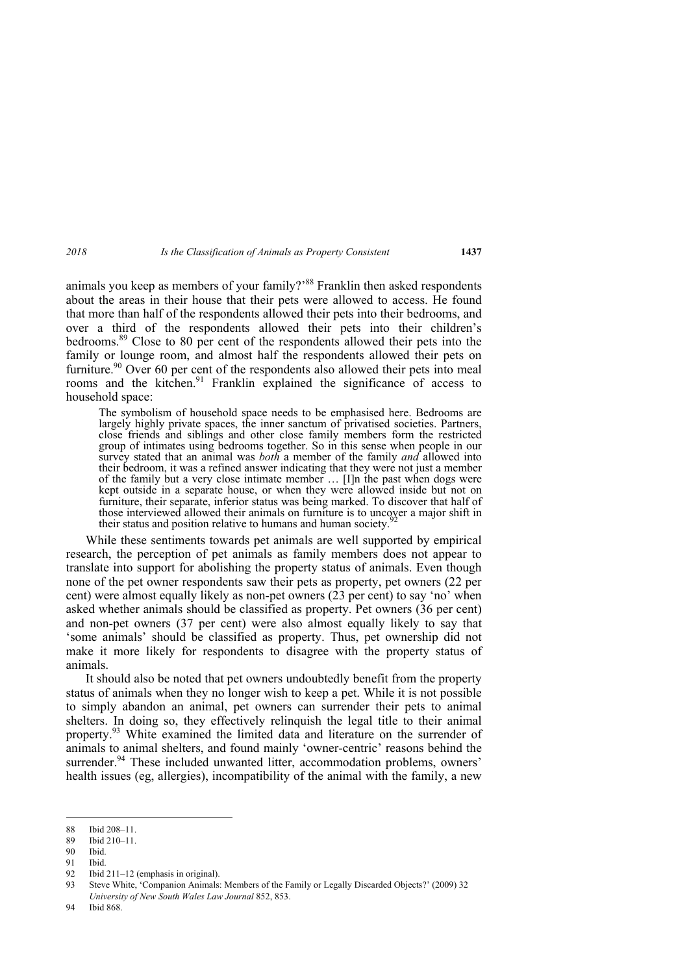animals you keep as members of your family?<sup>88</sup> Franklin then asked respondents about the areas in their house that their pets were allowed to access. He found that more than half of the respondents allowed their pets into their bedrooms, and over a third of the respondents allowed their pets into their children's bedrooms.89 Close to 80 per cent of the respondents allowed their pets into the family or lounge room, and almost half the respondents allowed their pets on furniture.<sup>90</sup> Over 60 per cent of the respondents also allowed their pets into meal rooms and the kitchen.<sup>91</sup> Franklin explained the significance of access to household space:

The symbolism of household space needs to be emphasised here. Bedrooms are largely highly private spaces, the inner sanctum of privatised societies. Partners, close friends and siblings and other close family members form the restricted group of intimates using bedrooms together. So in this sense when people in our survey stated that an animal was *both* a member of the family *and* allowed into their bedroom, it was a refined answer indicating that they were not just a member of the family but a very close intimate member … [I]n the past when dogs were kept outside in a separate house, or when they were allowed inside but not on furniture, their separate, inferior status was being marked. To discover that half of those interviewed allowed their animals on furniture is to uncover a major shift in their status and position relative to humans and human society.

While these sentiments towards pet animals are well supported by empirical research, the perception of pet animals as family members does not appear to translate into support for abolishing the property status of animals. Even though none of the pet owner respondents saw their pets as property, pet owners (22 per cent) were almost equally likely as non-pet owners (23 per cent) to say 'no' when asked whether animals should be classified as property. Pet owners (36 per cent) and non-pet owners (37 per cent) were also almost equally likely to say that 'some animals' should be classified as property. Thus, pet ownership did not make it more likely for respondents to disagree with the property status of animals.

It should also be noted that pet owners undoubtedly benefit from the property status of animals when they no longer wish to keep a pet. While it is not possible to simply abandon an animal, pet owners can surrender their pets to animal shelters. In doing so, they effectively relinquish the legal title to their animal property.<sup>93</sup> White examined the limited data and literature on the surrender of animals to animal shelters, and found mainly 'owner-centric' reasons behind the surrender.<sup>94</sup> These included unwanted litter, accommodation problems, owners' health issues (eg, allergies), incompatibility of the animal with the family, a new

<sup>88</sup> Ibid 208–11.

<sup>89</sup> Ibid 210–11.

<sup>90</sup> Ibid.

<sup>91</sup> Ibid.

<sup>92</sup> Ibid 211–12 (emphasis in original).

<sup>93</sup> Steve White, 'Companion Animals: Members of the Family or Legally Discarded Objects?' (2009) 32 *University of New South Wales Law Journal* 852, 853.

<sup>94</sup> Ibid 868.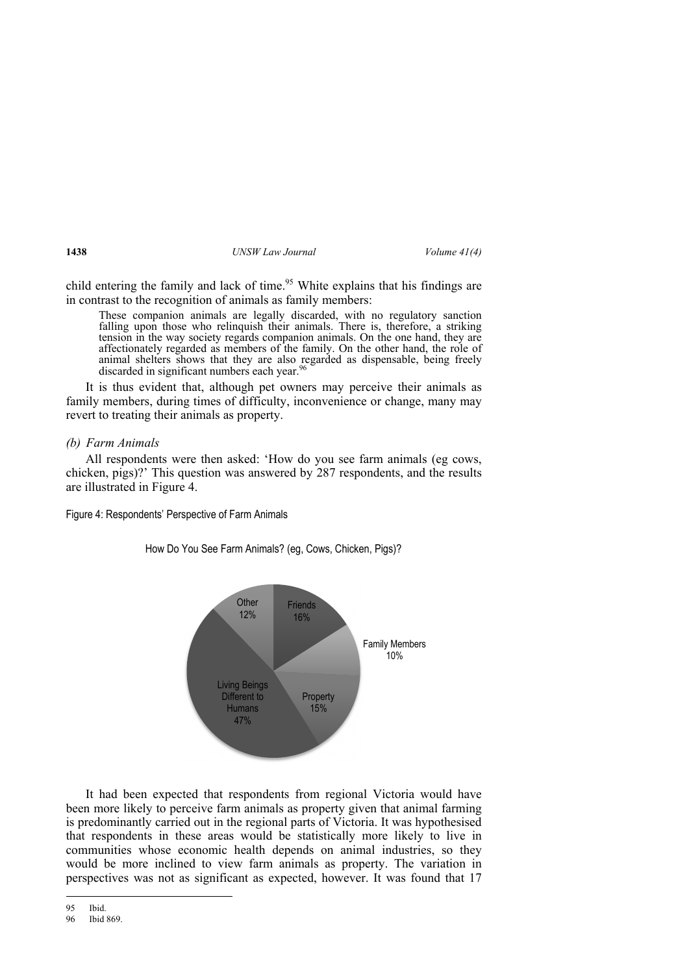child entering the family and lack of time.<sup>95</sup> White explains that his findings are in contrast to the recognition of animals as family members:

These companion animals are legally discarded, with no regulatory sanction falling upon those who relinquish their animals. There is, therefore, a striking tension in the way society regards companion animals. On the one hand, they are affectionately regarded as members of the family. On the other hand, the role of animal shelters shows that they are also regarded as dispensable, being freely discarded in significant numbers each year.<sup>96</sup>

It is thus evident that, although pet owners may perceive their animals as family members, during times of difficulty, inconvenience or change, many may revert to treating their animals as property.

*(b) Farm Animals* 

All respondents were then asked: 'How do you see farm animals (eg cows, chicken, pigs)?' This question was answered by 287 respondents, and the results are illustrated in Figure 4.

Figure 4: Respondents' Perspective of Farm Animals



How Do You See Farm Animals? (eg, Cows, Chicken, Pigs)?

It had been expected that respondents from regional Victoria would have been more likely to perceive farm animals as property given that animal farming is predominantly carried out in the regional parts of Victoria. It was hypothesised that respondents in these areas would be statistically more likely to live in communities whose economic health depends on animal industries, so they would be more inclined to view farm animals as property. The variation in perspectives was not as significant as expected, however. It was found that 17

<sup>95</sup> Ibid.

<sup>96</sup> Ibid 869.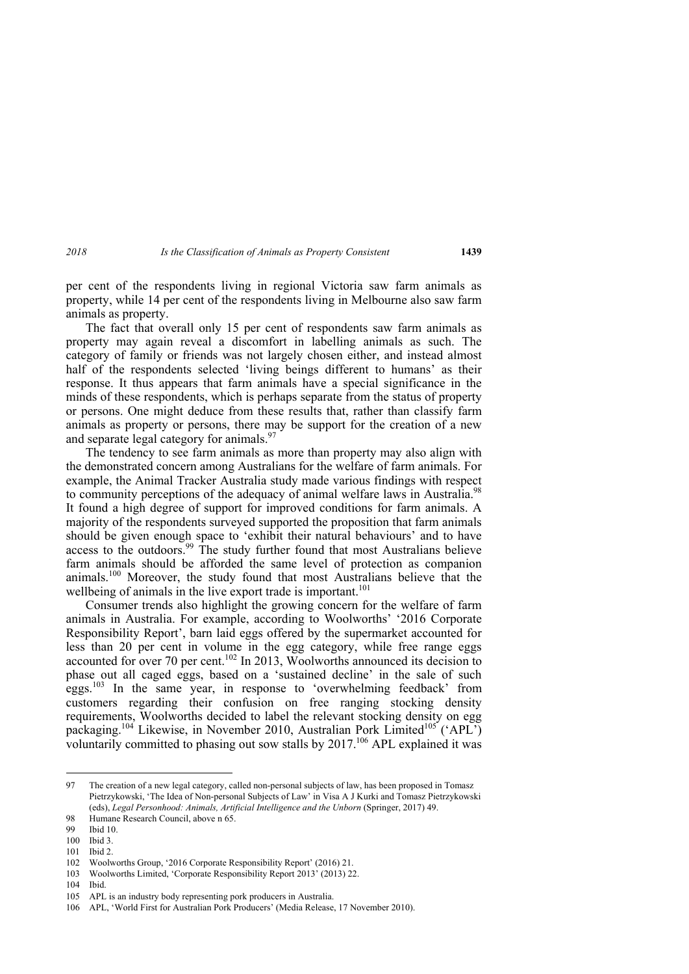per cent of the respondents living in regional Victoria saw farm animals as property, while 14 per cent of the respondents living in Melbourne also saw farm animals as property.

The fact that overall only 15 per cent of respondents saw farm animals as property may again reveal a discomfort in labelling animals as such. The category of family or friends was not largely chosen either, and instead almost half of the respondents selected 'living beings different to humans' as their response. It thus appears that farm animals have a special significance in the minds of these respondents, which is perhaps separate from the status of property or persons. One might deduce from these results that, rather than classify farm animals as property or persons, there may be support for the creation of a new and separate legal category for animals.<sup>97</sup>

The tendency to see farm animals as more than property may also align with the demonstrated concern among Australians for the welfare of farm animals. For example, the Animal Tracker Australia study made various findings with respect to community perceptions of the adequacy of animal welfare laws in Australia.<sup>98</sup> It found a high degree of support for improved conditions for farm animals. A majority of the respondents surveyed supported the proposition that farm animals should be given enough space to 'exhibit their natural behaviours' and to have access to the outdoors.<sup>99</sup> The study further found that most Australians believe farm animals should be afforded the same level of protection as companion animals.<sup>100</sup> Moreover, the study found that most Australians believe that the wellbeing of animals in the live export trade is important.<sup>101</sup>

Consumer trends also highlight the growing concern for the welfare of farm animals in Australia. For example, according to Woolworths' '2016 Corporate Responsibility Report', barn laid eggs offered by the supermarket accounted for less than 20 per cent in volume in the egg category, while free range eggs accounted for over 70 per cent.<sup>102</sup> In 2013, Woolworths announced its decision to phase out all caged eggs, based on a 'sustained decline' in the sale of such eggs.<sup>103</sup> In the same year, in response to 'overwhelming feedback' from customers regarding their confusion on free ranging stocking density requirements, Woolworths decided to label the relevant stocking density on egg packaging.<sup>104</sup> Likewise, in November 2010, Australian Pork Limited<sup>105</sup> ('APL') voluntarily committed to phasing out sow stalls by  $2017$ .<sup>106</sup> APL explained it was

104 Ibid.

<sup>97</sup> The creation of a new legal category, called non-personal subjects of law, has been proposed in Tomasz Pietrzykowski, 'The Idea of Non-personal Subjects of Law' in Visa A J Kurki and Tomasz Pietrzykowski (eds), *Legal Personhood: Animals, Artificial Intelligence and the Unborn* (Springer, 2017) 49.

<sup>98</sup> Humane Research Council, above n 65.

<sup>99</sup> Ibid 10.

<sup>100</sup> Ibid 3.

<sup>101</sup> Ibid 2.

<sup>102</sup> Woolworths Group, '2016 Corporate Responsibility Report' (2016) 21.

<sup>103</sup> Woolworths Limited, 'Corporate Responsibility Report 2013' (2013) 22.

<sup>105</sup> APL is an industry body representing pork producers in Australia.

<sup>106</sup> APL, 'World First for Australian Pork Producers' (Media Release, 17 November 2010).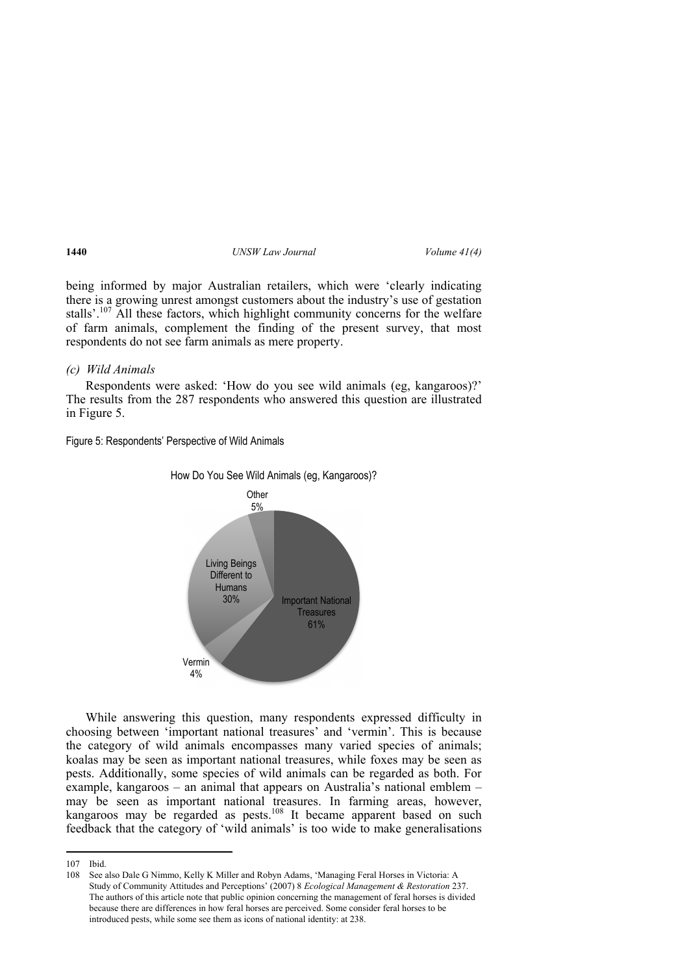being informed by major Australian retailers, which were 'clearly indicating there is a growing unrest amongst customers about the industry's use of gestation stalls'.<sup>107</sup> All these factors, which highlight community concerns for the welfare of farm animals, complement the finding of the present survey, that most respondents do not see farm animals as mere property.

## *(c) Wild Animals*

Respondents were asked: 'How do you see wild animals (eg, kangaroos)?' The results from the 287 respondents who answered this question are illustrated in Figure 5.

Figure 5: Respondents' Perspective of Wild Animals



While answering this question, many respondents expressed difficulty in choosing between 'important national treasures' and 'vermin'. This is because the category of wild animals encompasses many varied species of animals; koalas may be seen as important national treasures, while foxes may be seen as pests. Additionally, some species of wild animals can be regarded as both. For example, kangaroos – an animal that appears on Australia's national emblem – may be seen as important national treasures. In farming areas, however, kangaroos may be regarded as pests.<sup>108</sup> It became apparent based on such feedback that the category of 'wild animals' is too wide to make generalisations

<sup>107</sup> Ibid.

<sup>108</sup> See also Dale G Nimmo, Kelly K Miller and Robyn Adams, 'Managing Feral Horses in Victoria: A Study of Community Attitudes and Perceptions' (2007) 8 *Ecological Management & Restoration* 237. The authors of this article note that public opinion concerning the management of feral horses is divided because there are differences in how feral horses are perceived. Some consider feral horses to be introduced pests, while some see them as icons of national identity: at 238.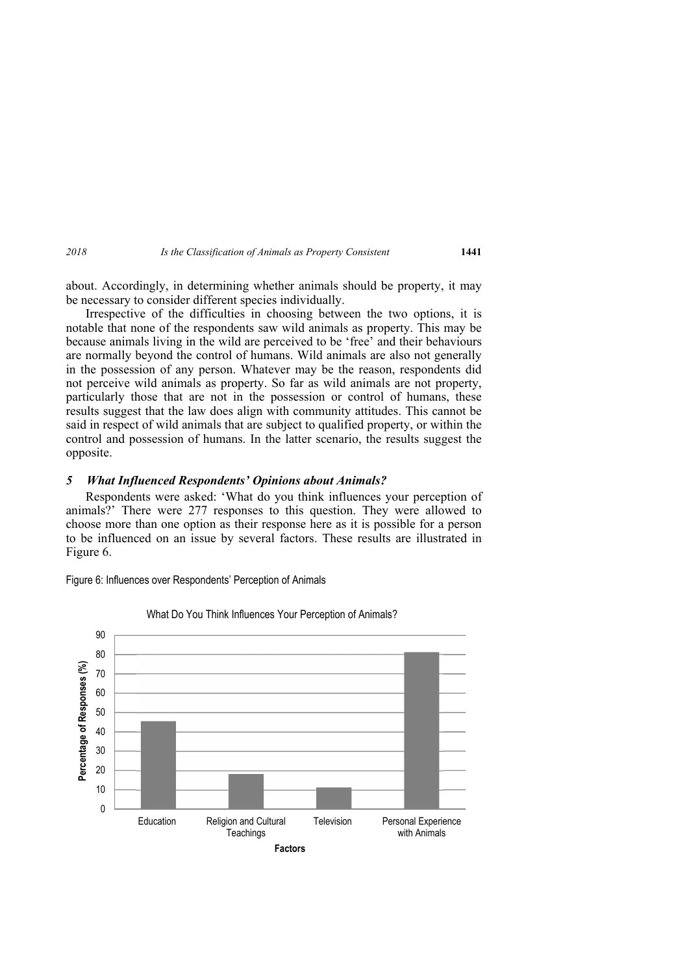about. Accordingly, in determining whether animals should be property, it may be necessary to consider different species individually.

Irrespective of the difficulties in choosing between the two options, it is notable that none of the respondents saw wild animals as property. This may be because animals living in the wild are perceived to be 'free' and their behaviours are normally beyond the control of humans. Wild animals are also not generally in the possession of any person. Whatever may be the reason, respondents did not perceive wild animals as property. So far as wild animals are not property, particularly those that are not in the possession or control of humans, these results suggest that the law does align with community attitudes. This cannot be said in respect of wild animals that are subject to qualified property, or within the control and possession of humans. In the latter scenario, the results suggest the opposite.

### *5 What Influenced Respondents' Opinions about Animals?*

Respondents were asked: 'What do you think influences your perception of animals?' There were 277 responses to this question. They were allowed to choose more than one option as their response here as it is possible for a person to be influenced on an issue by several factors. These results are illustrated in Figure 6.

Figure 6: Influences over Respondents' Perception of Animals



#### What Do You Think Influences Your Perception of Animals?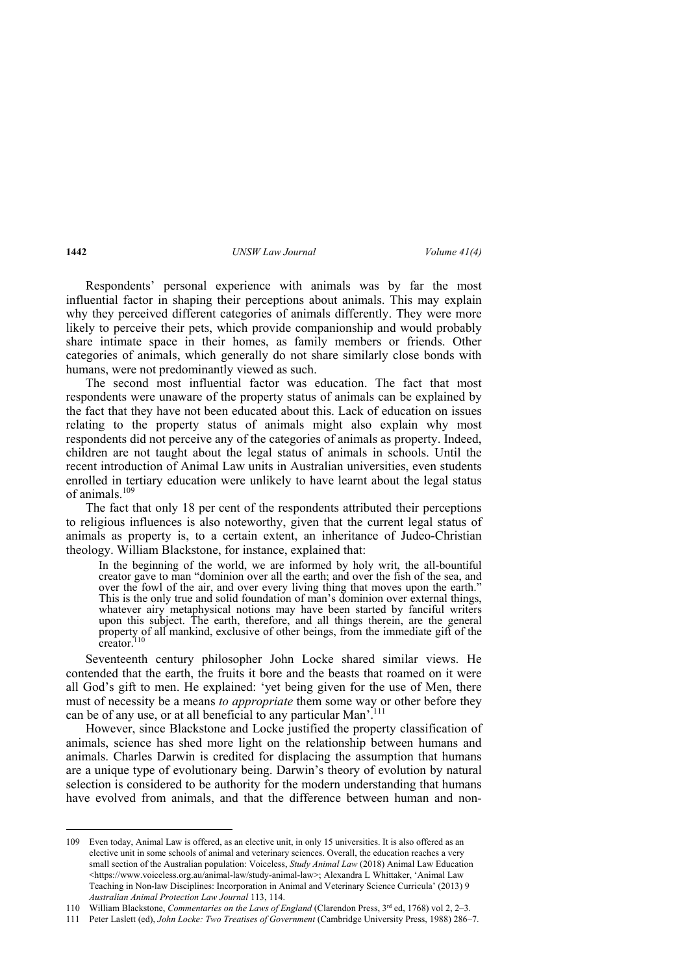Respondents' personal experience with animals was by far the most influential factor in shaping their perceptions about animals. This may explain why they perceived different categories of animals differently. They were more likely to perceive their pets, which provide companionship and would probably share intimate space in their homes, as family members or friends. Other categories of animals, which generally do not share similarly close bonds with humans, were not predominantly viewed as such.

The second most influential factor was education. The fact that most respondents were unaware of the property status of animals can be explained by the fact that they have not been educated about this. Lack of education on issues relating to the property status of animals might also explain why most respondents did not perceive any of the categories of animals as property. Indeed, children are not taught about the legal status of animals in schools. Until the recent introduction of Animal Law units in Australian universities, even students enrolled in tertiary education were unlikely to have learnt about the legal status of animals. $109$ 

The fact that only 18 per cent of the respondents attributed their perceptions to religious influences is also noteworthy, given that the current legal status of animals as property is, to a certain extent, an inheritance of Judeo-Christian theology. William Blackstone, for instance, explained that:

In the beginning of the world, we are informed by holy writ, the all-bountiful creator gave to man "dominion over all the earth; and over the fish of the sea, and over the fowl of the air, and over every living thing that moves upon the earth." This is the only true and solid foundation of man's dominion over external things, whatever airy metaphysical notions may have been started by fanciful writers upon this subject. The earth, therefore, and all things therein, are the general property of all mankind, exclusive of other beings, from the immediate gift of the creator.<sup>1</sup>

Seventeenth century philosopher John Locke shared similar views. He contended that the earth, the fruits it bore and the beasts that roamed on it were all God's gift to men. He explained: 'yet being given for the use of Men, there must of necessity be a means *to appropriate* them some way or other before they can be of any use, or at all beneficial to any particular Man'.<sup>111</sup>

However, since Blackstone and Locke justified the property classification of animals, science has shed more light on the relationship between humans and animals. Charles Darwin is credited for displacing the assumption that humans are a unique type of evolutionary being. Darwin's theory of evolution by natural selection is considered to be authority for the modern understanding that humans have evolved from animals, and that the difference between human and non-

<sup>109</sup> Even today, Animal Law is offered, as an elective unit, in only 15 universities. It is also offered as an elective unit in some schools of animal and veterinary sciences. Overall, the education reaches a very small section of the Australian population: Voiceless, *Study Animal Law* (2018) Animal Law Education <https://www.voiceless.org.au/animal-law/study-animal-law>; Alexandra L Whittaker, 'Animal Law Teaching in Non-law Disciplines: Incorporation in Animal and Veterinary Science Curricula' (2013) 9 *Australian Animal Protection Law Journal* 113, 114.

<sup>110</sup> William Blackstone, *Commentaries on the Laws of England* (Clarendon Press, 3rd ed, 1768) vol 2, 2–3.

<sup>111</sup> Peter Laslett (ed), *John Locke: Two Treatises of Government* (Cambridge University Press, 1988) 286–7.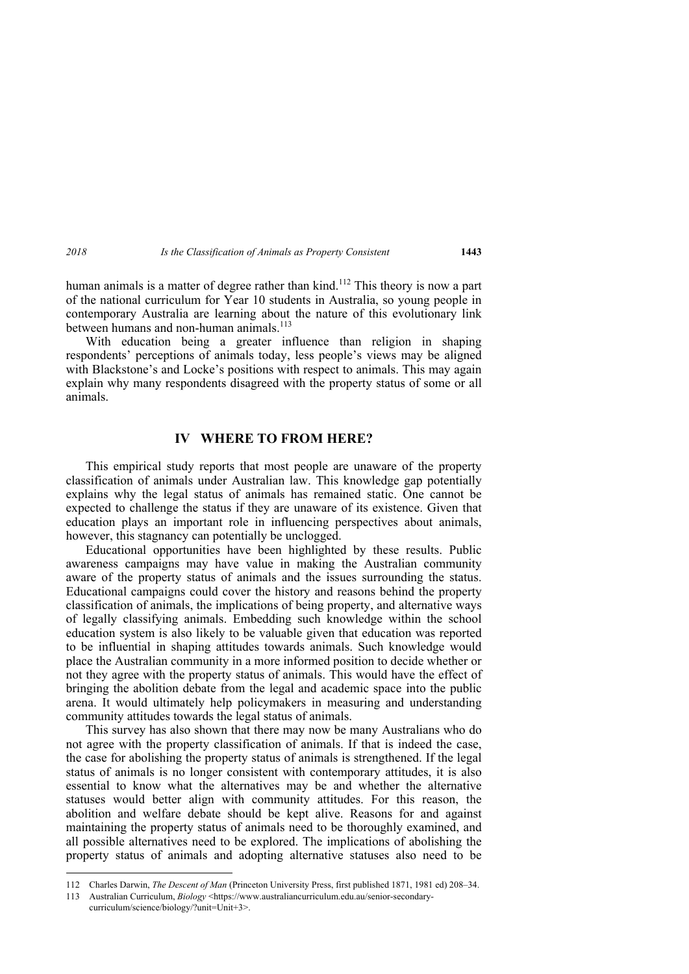human animals is a matter of degree rather than kind.<sup>112</sup> This theory is now a part of the national curriculum for Year 10 students in Australia, so young people in contemporary Australia are learning about the nature of this evolutionary link between humans and non-human animals.<sup>113</sup>

With education being a greater influence than religion in shaping respondents' perceptions of animals today, less people's views may be aligned with Blackstone's and Locke's positions with respect to animals. This may again explain why many respondents disagreed with the property status of some or all animals.

## **IV WHERE TO FROM HERE?**

This empirical study reports that most people are unaware of the property classification of animals under Australian law. This knowledge gap potentially explains why the legal status of animals has remained static. One cannot be expected to challenge the status if they are unaware of its existence. Given that education plays an important role in influencing perspectives about animals, however, this stagnancy can potentially be unclogged.

Educational opportunities have been highlighted by these results. Public awareness campaigns may have value in making the Australian community aware of the property status of animals and the issues surrounding the status. Educational campaigns could cover the history and reasons behind the property classification of animals, the implications of being property, and alternative ways of legally classifying animals. Embedding such knowledge within the school education system is also likely to be valuable given that education was reported to be influential in shaping attitudes towards animals. Such knowledge would place the Australian community in a more informed position to decide whether or not they agree with the property status of animals. This would have the effect of bringing the abolition debate from the legal and academic space into the public arena. It would ultimately help policymakers in measuring and understanding community attitudes towards the legal status of animals.

This survey has also shown that there may now be many Australians who do not agree with the property classification of animals. If that is indeed the case, the case for abolishing the property status of animals is strengthened. If the legal status of animals is no longer consistent with contemporary attitudes, it is also essential to know what the alternatives may be and whether the alternative statuses would better align with community attitudes. For this reason, the abolition and welfare debate should be kept alive. Reasons for and against maintaining the property status of animals need to be thoroughly examined, and all possible alternatives need to be explored. The implications of abolishing the property status of animals and adopting alternative statuses also need to be

<sup>112</sup> Charles Darwin, *The Descent of Man* (Princeton University Press, first published 1871, 1981 ed) 208–34.

<sup>113</sup> Australian Curriculum, *Biology* <https://www.australiancurriculum.edu.au/senior-secondarycurriculum/science/biology/?unit=Unit+3>.